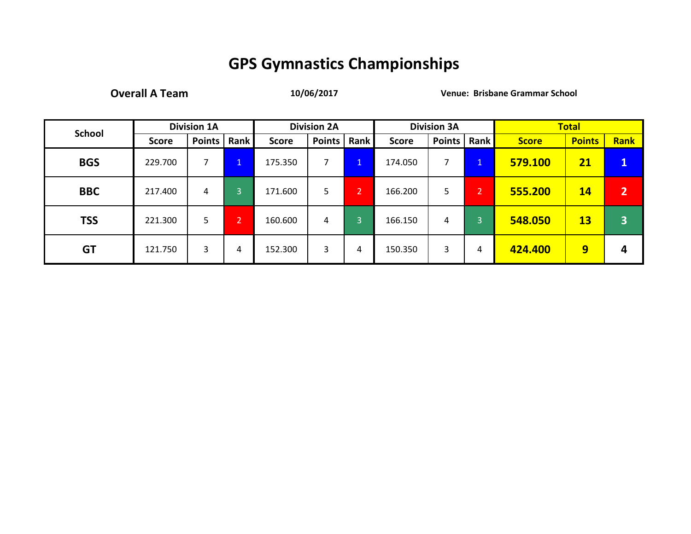**Overall A Team 10/06/2017 Venue: Brisbane Grammar School**

| <b>School</b> |              | <b>Division 1A</b> |                |              | <b>Division 2A</b> |                |              | <b>Division 3A</b> |                |              | <b>Total</b>  |                         |
|---------------|--------------|--------------------|----------------|--------------|--------------------|----------------|--------------|--------------------|----------------|--------------|---------------|-------------------------|
|               | <b>Score</b> | <b>Points</b>      | <b>Rank</b>    | <b>Score</b> | <b>Points</b>      | <b>Rank</b>    | <b>Score</b> | <b>Points</b>      | <b>Rank</b>    | <b>Score</b> | <b>Points</b> | Rank                    |
| <b>BGS</b>    | 229.700      |                    | 1<br>ш.        | 175.350      |                    | $\mathbf{1}$   | 174.050      | 7                  | $\mathbf{1}$   | 579.100      | 21            | $\mathbf{u}$            |
| <b>BBC</b>    | 217.400      | 4                  | 3              | 171.600      | 5.                 | $\overline{2}$ | 166.200      | 5                  | $\overline{2}$ | 555.200      | 14            | $\overline{2}$          |
| <b>TSS</b>    | 221.300      | 5.                 | $\overline{2}$ | 160.600      | 4                  | 3              | 166.150      | 4                  | 3              | 548.050      | 13            | $\overline{\mathbf{3}}$ |
| <b>GT</b>     | 121.750      | 3                  | 4              | 152.300      | 3                  | 4              | 150.350      | 3                  | 4              | 424.400      | 9             | Δ                       |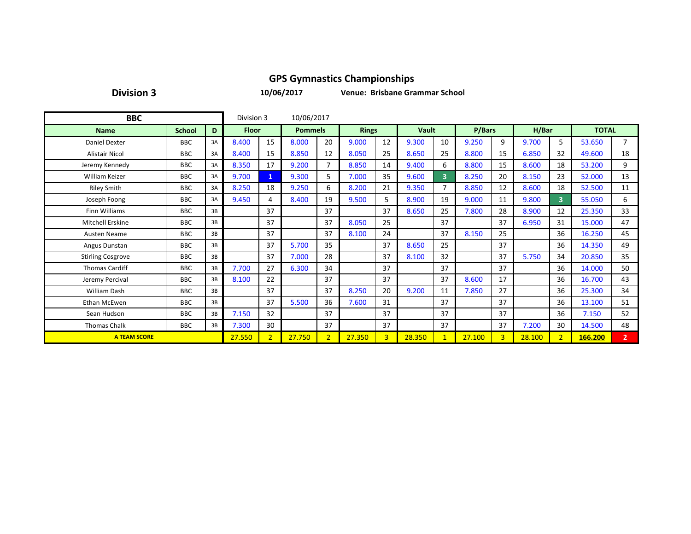**Division 3**

**10/06/2017**

**Venue: Brisbane Grammar School**

| <b>BBC</b>               |               |    |              |                | 10/06/2017     |                |              |                |              |                |        |                |        |                         |              |                |
|--------------------------|---------------|----|--------------|----------------|----------------|----------------|--------------|----------------|--------------|----------------|--------|----------------|--------|-------------------------|--------------|----------------|
| <b>Name</b>              | <b>School</b> | D  | <b>Floor</b> |                | <b>Pommels</b> |                | <b>Rings</b> |                | <b>Vault</b> |                | P/Bars |                | H/Bar  |                         | <b>TOTAL</b> |                |
| <b>Daniel Dexter</b>     | <b>BBC</b>    | 3A | 8.400        | 15             | 8.000          | 20             | 9.000        | 12             | 9.300        | 10             | 9.250  | 9              | 9.700  | 5.                      | 53.650       | $\overline{7}$ |
| <b>Alistair Nicol</b>    | <b>BBC</b>    | 3A | 8.400        | 15             | 8.850          | 12             | 8.050        | 25             | 8.650        | 25             | 8.800  | 15             | 6.850  | 32                      | 49.600       | 18             |
| Jeremy Kennedy           | <b>BBC</b>    | 3A | 8.350        | 17             | 9.200          | 7              | 8.850        | 14             | 9.400        | 6              | 8.800  | 15             | 8.600  | 18                      | 53.200       | 9              |
| <b>William Keizer</b>    | <b>BBC</b>    | 3A | 9.700        | 1              | 9.300          | 5              | 7.000        | 35             | 9.600        | $\overline{3}$ | 8.250  | 20             | 8.150  | 23                      | 52.000       | 13             |
| <b>Riley Smith</b>       | <b>BBC</b>    | 3A | 8.250        | 18             | 9.250          | 6              | 8.200        | 21             | 9.350        | 7              | 8.850  | 12             | 8.600  | 18                      | 52.500       | 11             |
| Joseph Foong             | <b>BBC</b>    | 3A | 9.450        | 4              | 8.400          | 19             | 9.500        | 5              | 8.900        | 19             | 9.000  | 11             | 9.800  | $\overline{\mathbf{3}}$ | 55.050       | 6              |
| <b>Finn Williams</b>     | <b>BBC</b>    | 3B |              | 37             |                | 37             |              | 37             | 8.650        | 25             | 7.800  | 28             | 8.900  | 12                      | 25.350       | 33             |
| <b>Mitchell Erskine</b>  | <b>BBC</b>    | 3B |              | 37             |                | 37             | 8.050        | 25             |              | 37             |        | 37             | 6.950  | 31                      | 15.000       | 47             |
| Austen Neame             | <b>BBC</b>    | 3B |              | 37             |                | 37             | 8.100        | 24             |              | 37             | 8.150  | 25             |        | 36                      | 16.250       | 45             |
| Angus Dunstan            | <b>BBC</b>    | 3B |              | 37             | 5.700          | 35             |              | 37             | 8.650        | 25             |        | 37             |        | 36                      | 14.350       | 49             |
| <b>Stirling Cosgrove</b> | <b>BBC</b>    | 3B |              | 37             | 7.000          | 28             |              | 37             | 8.100        | 32             |        | 37             | 5.750  | 34                      | 20.850       | 35             |
| <b>Thomas Cardiff</b>    | <b>BBC</b>    | 3B | 7.700        | 27             | 6.300          | 34             |              | 37             |              | 37             |        | 37             |        | 36                      | 14.000       | 50             |
| Jeremy Percival          | <b>BBC</b>    | 3B | 8.100        | 22             |                | 37             |              | 37             |              | 37             | 8.600  | 17             |        | 36                      | 16.700       | 43             |
| William Dash             | <b>BBC</b>    | 3B |              | 37             |                | 37             | 8.250        | 20             | 9.200        | 11             | 7.850  | 27             |        | 36                      | 25.300       | 34             |
| Ethan McEwen             | <b>BBC</b>    | 3B |              | 37             | 5.500          | 36             | 7.600        | 31             |              | 37             |        | 37             |        | 36                      | 13.100       | 51             |
| Sean Hudson              | <b>BBC</b>    | 3B | 7.150        | 32             |                | 37             |              | 37             |              | 37             |        | 37             |        | 36                      | 7.150        | 52             |
| <b>Thomas Chalk</b>      | <b>BBC</b>    | 3B | 7.300        | 30             |                | 37             |              | 37             |              | 37             |        | 37             | 7.200  | 30                      | 14.500       | 48             |
| <b>A TEAM SCORE</b>      |               |    | 27.550       | $\overline{2}$ | 27.750         | 2 <sup>1</sup> | 27.350       | $\overline{3}$ | 28.350       | -1             | 27.100 | $\overline{3}$ | 28.100 | $\overline{2}$          | 166.200      | $\overline{2}$ |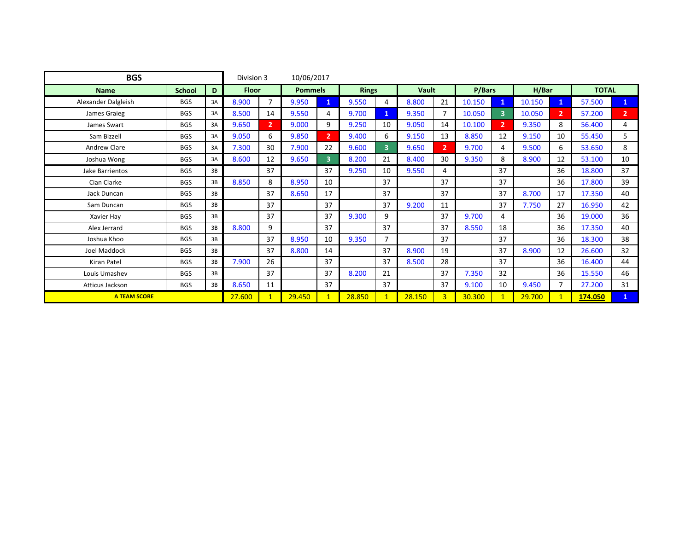| <b>BGS</b>          |               |    |              |                | 10/06/2017     |                |              |                |              |                |        |                |        |              |              |                |
|---------------------|---------------|----|--------------|----------------|----------------|----------------|--------------|----------------|--------------|----------------|--------|----------------|--------|--------------|--------------|----------------|
| <b>Name</b>         | <b>School</b> | D  | <b>Floor</b> |                | <b>Pommels</b> |                | <b>Rings</b> |                | <b>Vault</b> |                | P/Bars |                | H/Bar  |              | <b>TOTAL</b> |                |
| Alexander Dalgleish | <b>BGS</b>    | 3A | 8.900        | $\overline{7}$ | 9.950          | $\mathbf{1}$   | 9.550        | 4              | 8.800        | 21             | 10.150 |                | 10.150 | 1            | 57.500       | U.             |
| James Graieg        | <b>BGS</b>    | 3A | 8.500        | 14             | 9.550          | 4              | 9.700        | 1              | 9.350        | $\overline{7}$ | 10.050 | 3              | 10.050 | $\mathbf{2}$ | 57.200       | 2 <sup>7</sup> |
| James Swart         | <b>BGS</b>    | 3A | 9.650        | $\overline{2}$ | 9.000          | 9              | 9.250        | 10             | 9.050        | 14             | 10.100 | $\overline{2}$ | 9.350  | 8            | 56.400       | 4              |
| Sam Bizzell         | <b>BGS</b>    | 3A | 9.050        | 6              | 9.850          | $\overline{2}$ | 9.400        | 6              | 9.150        | 13             | 8.850  | 12             | 9.150  | 10           | 55.450       | 5              |
| <b>Andrew Clare</b> | <b>BGS</b>    | 3A | 7.300        | 30             | 7.900          | 22             | 9.600        | $\overline{3}$ | 9.650        | $\overline{2}$ | 9.700  | 4              | 9.500  | 6            | 53.650       | 8              |
| Joshua Wong         | <b>BGS</b>    | 3A | 8.600        | 12             | 9.650          | $\overline{3}$ | 8.200        | 21             | 8.400        | 30             | 9.350  | 8              | 8.900  | 12           | 53.100       | 10             |
| Jake Barrientos     | <b>BGS</b>    | 3B |              | 37             |                | 37             | 9.250        | 10             | 9.550        | 4              |        | 37             |        | 36           | 18.800       | 37             |
| Cian Clarke         | <b>BGS</b>    | 3B | 8.850        | 8              | 8.950          | 10             |              | 37             |              | 37             |        | 37             |        | 36           | 17.800       | 39             |
| Jack Duncan         | <b>BGS</b>    | 3B |              | 37             | 8.650          | 17             |              | 37             |              | 37             |        | 37             | 8.700  | 17           | 17.350       | 40             |
| Sam Duncan          | <b>BGS</b>    | 3B |              | 37             |                | 37             |              | 37             | 9.200        | 11             |        | 37             | 7.750  | 27           | 16.950       | 42             |
| Xavier Hay          | <b>BGS</b>    | 3B |              | 37             |                | 37             | 9.300        | 9              |              | 37             | 9.700  | 4              |        | 36           | 19.000       | 36             |
| Alex Jerrard        | <b>BGS</b>    | 3B | 8.800        | 9              |                | 37             |              | 37             |              | 37             | 8.550  | 18             |        | 36           | 17.350       | 40             |
| Joshua Khoo         | <b>BGS</b>    | 3B |              | 37             | 8.950          | 10             | 9.350        | $\overline{7}$ |              | 37             |        | 37             |        | 36           | 18.300       | 38             |
| <b>Joel Maddock</b> | <b>BGS</b>    | 3B |              | 37             | 8.800          | 14             |              | 37             | 8.900        | 19             |        | 37             | 8.900  | 12           | 26.600       | 32             |
| Kiran Patel         | <b>BGS</b>    | 3B | 7.900        | 26             |                | 37             |              | 37             | 8.500        | 28             |        | 37             |        | 36           | 16.400       | 44             |
| Louis Umashev       | <b>BGS</b>    | 3B |              | 37             |                | 37             | 8.200        | 21             |              | 37             | 7.350  | 32             |        | 36           | 15.550       | 46             |
| Atticus Jackson     | <b>BGS</b>    | 3B | 8.650        | 11             |                | 37             |              | 37             |              | 37             | 9.100  | 10             | 9.450  | 7            | 27.200       | 31             |
| <b>A TEAM SCORE</b> |               |    | 27.600       | 1              | 29.450         | $\mathbf{1}$   | 28.850       | $\mathbf{1}$   | 28.150       | $\overline{3}$ | 30.300 |                | 29.700 |              | 174.050      | $\mathbf{1}$   |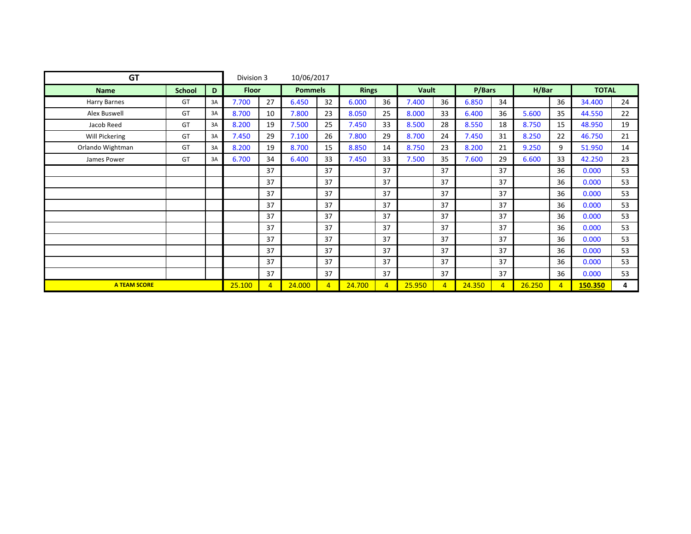| <b>GT</b>           |               |    |              |                | 10/06/2017     |                |              |                |              |                |        |                |        |                |              |    |
|---------------------|---------------|----|--------------|----------------|----------------|----------------|--------------|----------------|--------------|----------------|--------|----------------|--------|----------------|--------------|----|
| <b>Name</b>         | <b>School</b> | D  | <b>Floor</b> |                | <b>Pommels</b> |                | <b>Rings</b> |                | <b>Vault</b> |                | P/Bars |                | H/Bar  |                | <b>TOTAL</b> |    |
| Harry Barnes        | GT            | 3A | 7.700        | 27             | 6.450          | 32             | 6.000        | 36             | 7.400        | 36             | 6.850  | 34             |        | 36             | 34.400       | 24 |
| Alex Buswell        | GT            | 3A | 8.700        | 10             | 7.800          | 23             | 8.050        | 25             | 8.000        | 33             | 6.400  | 36             | 5.600  | 35             | 44.550       | 22 |
| Jacob Reed          | GT            | 3A | 8.200        | 19             | 7.500          | 25             | 7.450        | 33             | 8.500        | 28             | 8.550  | 18             | 8.750  | 15             | 48.950       | 19 |
| Will Pickering      | GT            | 3A | 7.450        | 29             | 7.100          | 26             | 7.800        | 29             | 8.700        | 24             | 7.450  | 31             | 8.250  | 22             | 46.750       | 21 |
| Orlando Wightman    | GT            | 3A | 8.200        | 19             | 8.700          | 15             | 8.850        | 14             | 8.750        | 23             | 8.200  | 21             | 9.250  | 9              | 51.950       | 14 |
| James Power         | GT            | 3A | 6.700        | 34             | 6.400          | 33             | 7.450        | 33             | 7.500        | 35             | 7.600  | 29             | 6.600  | 33             | 42.250       | 23 |
|                     |               |    |              | 37             |                | 37             |              | 37             |              | 37             |        | 37             |        | 36             | 0.000        | 53 |
|                     |               |    |              | 37             |                | 37             |              | 37             |              | 37             |        | 37             |        | 36             | 0.000        | 53 |
|                     |               |    |              | 37             |                | 37             |              | 37             |              | 37             |        | 37             |        | 36             | 0.000        | 53 |
|                     |               |    |              | 37             |                | 37             |              | 37             |              | 37             |        | 37             |        | 36             | 0.000        | 53 |
|                     |               |    |              | 37             |                | 37             |              | 37             |              | 37             |        | 37             |        | 36             | 0.000        | 53 |
|                     |               |    |              | 37             |                | 37             |              | 37             |              | 37             |        | 37             |        | 36             | 0.000        | 53 |
|                     |               |    |              | 37             |                | 37             |              | 37             |              | 37             |        | 37             |        | 36             | 0.000        | 53 |
|                     |               |    |              | 37             |                | 37             |              | 37             |              | 37             |        | 37             |        | 36             | 0.000        | 53 |
|                     |               |    |              | 37             |                | 37             |              | 37             |              | 37             |        | 37             |        | 36             | 0.000        | 53 |
|                     |               |    |              | 37             |                | 37             |              | 37             |              | 37             |        | 37             |        | 36             | 0.000        | 53 |
| <b>A TEAM SCORE</b> |               |    | 25.100       | $\overline{4}$ | 24.000         | $\overline{4}$ | 24.700       | $\overline{4}$ | 25.950       | $\overline{4}$ | 24.350 | $\overline{4}$ | 26.250 | $\overline{4}$ | 150.350      | 4  |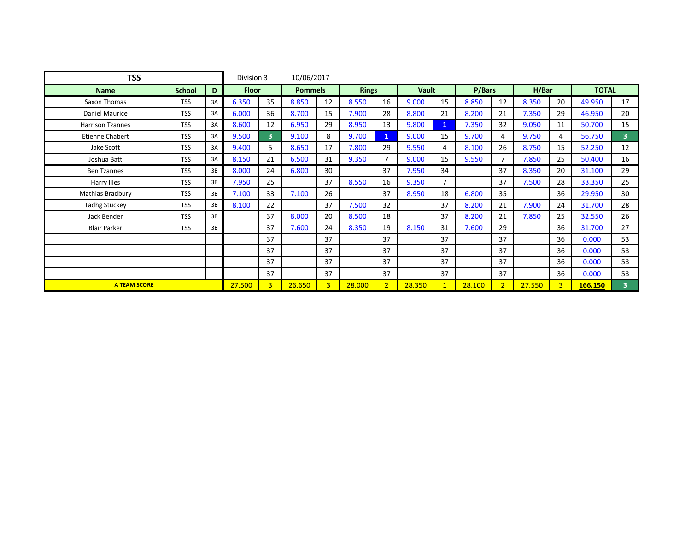| <b>TSS</b>              |               |    |              |                         | 10/06/2017     |                |              |                |              |                |        |                |        |                |              |                |
|-------------------------|---------------|----|--------------|-------------------------|----------------|----------------|--------------|----------------|--------------|----------------|--------|----------------|--------|----------------|--------------|----------------|
| <b>Name</b>             | <b>School</b> | D  | <b>Floor</b> |                         | <b>Pommels</b> |                | <b>Rings</b> |                | <b>Vault</b> |                | P/Bars |                | H/Bar  |                | <b>TOTAL</b> |                |
| Saxon Thomas            | <b>TSS</b>    | 3A | 6.350        | 35                      | 8.850          | 12             | 8.550        | 16             | 9.000        | 15             | 8.850  | 12             | 8.350  | 20             | 49.950       | 17             |
| <b>Daniel Maurice</b>   | <b>TSS</b>    | 3A | 6.000        | 36                      | 8.700          | 15             | 7.900        | 28             | 8.800        | 21             | 8.200  | 21             | 7.350  | 29             | 46.950       | 20             |
| <b>Harrison Tzannes</b> | <b>TSS</b>    | 3A | 8.600        | 12                      | 6.950          | 29             | 8.950        | 13             | 9.800        | $\mathbf{1}$   | 7.350  | 32             | 9.050  | 11             | 50.700       | 15             |
| Etienne Chabert         | <b>TSS</b>    | 3A | 9.500        | $\overline{\mathbf{3}}$ | 9.100          | 8              | 9.700        | $\mathbf{1}$   | 9.000        | 15             | 9.700  | 4              | 9.750  | 4              | 56.750       | 3 <sup>1</sup> |
| Jake Scott              | <b>TSS</b>    | 3A | 9.400        | 5                       | 8.650          | 17             | 7.800        | 29             | 9.550        | 4              | 8.100  | 26             | 8.750  | 15             | 52.250       | 12             |
| Joshua Batt             | <b>TSS</b>    | 3A | 8.150        | 21                      | 6.500          | 31             | 9.350        | 7              | 9.000        | 15             | 9.550  | 7              | 7.850  | 25             | 50.400       | 16             |
| <b>Ben Tzannes</b>      | <b>TSS</b>    | 3B | 8.000        | 24                      | 6.800          | 30             |              | 37             | 7.950        | 34             |        | 37             | 8.350  | 20             | 31.100       | 29             |
| Harry Illes             | <b>TSS</b>    | 3B | 7.950        | 25                      |                | 37             | 8.550        | 16             | 9.350        | $\overline{7}$ |        | 37             | 7.500  | 28             | 33.350       | 25             |
| Mathias Bradbury        | <b>TSS</b>    | 3B | 7.100        | 33                      | 7.100          | 26             |              | 37             | 8.950        | 18             | 6.800  | 35             |        | 36             | 29.950       | 30             |
| <b>Tadhg Stuckey</b>    | <b>TSS</b>    | 3B | 8.100        | 22                      |                | 37             | 7.500        | 32             |              | 37             | 8.200  | 21             | 7.900  | 24             | 31.700       | 28             |
| Jack Bender             | <b>TSS</b>    | 3B |              | 37                      | 8.000          | 20             | 8.500        | 18             |              | 37             | 8.200  | 21             | 7.850  | 25             | 32.550       | 26             |
| <b>Blair Parker</b>     | <b>TSS</b>    | 3B |              | 37                      | 7.600          | 24             | 8.350        | 19             | 8.150        | 31             | 7.600  | 29             |        | 36             | 31.700       | 27             |
|                         |               |    |              | 37                      |                | 37             |              | 37             |              | 37             |        | 37             |        | 36             | 0.000        | 53             |
|                         |               |    |              | 37                      |                | 37             |              | 37             |              | 37             |        | 37             |        | 36             | 0.000        | 53             |
|                         |               |    |              | 37                      |                | 37             |              | 37             |              | 37             |        | 37             |        | 36             | 0.000        | 53             |
|                         |               |    |              | 37                      |                | 37             |              | 37             |              | 37             |        | 37             |        | 36             | 0.000        | 53             |
| <b>A TEAM SCORE</b>     |               |    | 27.500       | $\overline{3}$          | 26.650         | 3 <sup>1</sup> | 28.000       | 2 <sup>1</sup> | 28.350       | $\mathbf{1}$   | 28.100 | $\overline{2}$ | 27.550 | $\overline{3}$ | 166.150      | 3              |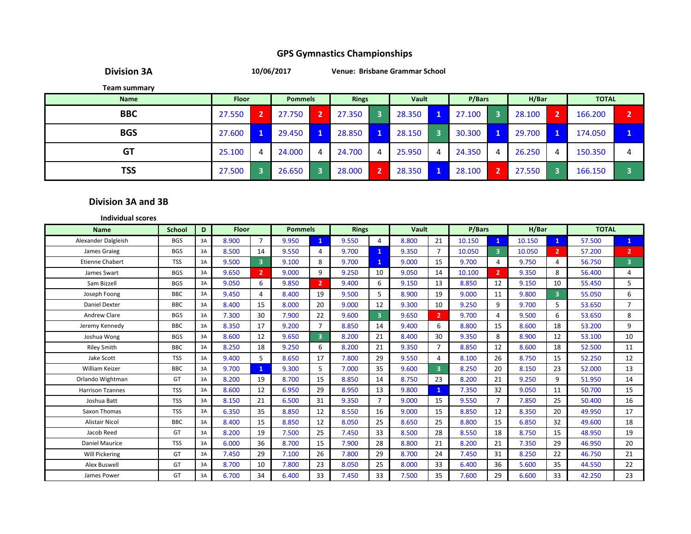**Division 3A**

**10/06/2017 Venue: Brisbane Grammar School**

**Team summary**

| <b>Name</b> | <b>Floor</b> | <b>Pommels</b> |              | <b>Rings</b> |   | Vault  |   | P/Bars |   | H/Bar  |   | <b>TOTAL</b> |   |
|-------------|--------------|----------------|--------------|--------------|---|--------|---|--------|---|--------|---|--------------|---|
| <b>BBC</b>  | 27.550       | 27.750         | $\mathbf{2}$ | 27.350       |   | 28.350 |   | 27.100 | 3 | 28.100 |   | 166.200      | n |
| <b>BGS</b>  | 27.600       | 29.450         | 1            | 28.850       |   | 28.150 |   | 30.300 |   | 29.700 |   | 174.050      |   |
| <b>GT</b>   | 25.100       | 24.000         | 4            | 24.700       | 4 | 25.950 | 4 | 24.350 | 4 | 26.250 | 4 | 150.350      |   |
| TSS         | 27.500       | 26.650         |              | 28.000       |   | 28.350 |   | 28.100 |   | 27.550 |   | 166.150      |   |

#### **Division 3A and 3B**

| <b>Individual scores</b> |               |    |              |                |                |                         |              |                         |              |                |        |                |        |                         |              |                |
|--------------------------|---------------|----|--------------|----------------|----------------|-------------------------|--------------|-------------------------|--------------|----------------|--------|----------------|--------|-------------------------|--------------|----------------|
| <b>Name</b>              | <b>School</b> | D  | <b>Floor</b> |                | <b>Pommels</b> |                         | <b>Rings</b> |                         | <b>Vault</b> |                | P/Bars |                | H/Bar  |                         | <b>TOTAL</b> |                |
| Alexander Dalgleish      | <b>BGS</b>    | 3A | 8.900        | $\overline{7}$ | 9.950          | $\mathbf{1}$            | 9.550        | 4                       | 8.800        | 21             | 10.150 | $\mathbf{1}$   | 10.150 | $\mathbf{1}$            | 57.500       | $\mathbf{1}$   |
| James Graieg             | <b>BGS</b>    | 3A | 8.500        | 14             | 9.550          | 4                       | 9.700        | $\mathbf{1}$            | 9.350        | $\overline{7}$ | 10.050 | 3              | 10.050 | $\mathbf{2}$            | 57.200       | $\overline{2}$ |
| <b>Etienne Chabert</b>   | <b>TSS</b>    | 3A | 9.500        | 3 <sup>1</sup> | 9.100          | 8                       | 9.700        | $\mathbf{1}$            | 9.000        | 15             | 9.700  | 4              | 9.750  | 4                       | 56.750       | 3              |
| James Swart              | <b>BGS</b>    | 3A | 9.650        | 2 <sup>1</sup> | 9.000          | 9                       | 9.250        | 10                      | 9.050        | 14             | 10.100 | $\overline{2}$ | 9.350  | 8                       | 56.400       | 4              |
| Sam Bizzell              | <b>BGS</b>    | 3A | 9.050        | 6              | 9.850          | $\overline{2}$          | 9.400        | 6                       | 9.150        | 13             | 8.850  | 12             | 9.150  | 10                      | 55.450       | 5              |
| Joseph Foong             | <b>BBC</b>    | 3A | 9.450        | $\overline{4}$ | 8.400          | 19                      | 9.500        | 5.                      | 8.900        | 19             | 9.000  | 11             | 9.800  | $\overline{\mathbf{3}}$ | 55.050       | 6              |
| <b>Daniel Dexter</b>     | <b>BBC</b>    | 3A | 8.400        | 15             | 8.000          | 20                      | 9.000        | 12                      | 9.300        | 10             | 9.250  | 9              | 9.700  | 5.                      | 53.650       | $\overline{7}$ |
| Andrew Clare             | <b>BGS</b>    | 3A | 7.300        | 30             | 7.900          | 22                      | 9.600        | $\overline{\mathbf{3}}$ | 9.650        | $\overline{2}$ | 9.700  | 4              | 9.500  | 6                       | 53.650       | 8              |
| Jeremy Kennedy           | <b>BBC</b>    | 3A | 8.350        | 17             | 9.200          | $\overline{7}$          | 8.850        | 14                      | 9.400        | 6              | 8.800  | 15             | 8.600  | 18                      | 53.200       | 9              |
| Joshua Wong              | <b>BGS</b>    | 3A | 8.600        | 12             | 9.650          | $\overline{\mathbf{3}}$ | 8.200        | 21                      | 8.400        | 30             | 9.350  | 8              | 8.900  | 12                      | 53.100       | 10             |
| <b>Riley Smith</b>       | <b>BBC</b>    | 3A | 8.250        | 18             | 9.250          | 6                       | 8.200        | 21                      | 9.350        | $\overline{7}$ | 8.850  | 12             | 8.600  | 18                      | 52.500       | 11             |
| Jake Scott               | <b>TSS</b>    | 3A | 9.400        | 5              | 8.650          | 17                      | 7.800        | 29                      | 9.550        | 4              | 8.100  | 26             | 8.750  | 15                      | 52.250       | 12             |
| <b>William Keizer</b>    | <b>BBC</b>    | 3A | 9.700        | $\mathbf{1}$   | 9.300          | 5                       | 7.000        | 35                      | 9.600        | $\overline{3}$ | 8.250  | 20             | 8.150  | 23                      | 52.000       | 13             |
| Orlando Wightman         | GT            | 3A | 8.200        | 19             | 8.700          | 15                      | 8.850        | 14                      | 8.750        | 23             | 8.200  | 21             | 9.250  | 9                       | 51.950       | 14             |
| <b>Harrison Tzannes</b>  | <b>TSS</b>    | 3A | 8.600        | 12             | 6.950          | 29                      | 8.950        | 13                      | 9.800        | $\mathbf{1}$   | 7.350  | 32             | 9.050  | 11                      | 50.700       | 15             |
| Joshua Batt              | <b>TSS</b>    | 3A | 8.150        | 21             | 6.500          | 31                      | 9.350        | 7                       | 9.000        | 15             | 9.550  | $\overline{7}$ | 7.850  | 25                      | 50.400       | 16             |
| Saxon Thomas             | <b>TSS</b>    | 3A | 6.350        | 35             | 8.850          | 12                      | 8.550        | 16                      | 9.000        | 15             | 8.850  | 12             | 8.350  | 20                      | 49.950       | 17             |
| <b>Alistair Nicol</b>    | <b>BBC</b>    | 3A | 8.400        | 15             | 8.850          | 12                      | 8.050        | 25                      | 8.650        | 25             | 8.800  | 15             | 6.850  | 32                      | 49.600       | 18             |
| Jacob Reed               | GT            | 3A | 8.200        | 19             | 7.500          | 25                      | 7.450        | 33                      | 8.500        | 28             | 8.550  | 18             | 8.750  | 15                      | 48.950       | 19             |
| <b>Daniel Maurice</b>    | <b>TSS</b>    | 3A | 6.000        | 36             | 8.700          | 15                      | 7.900        | 28                      | 8.800        | 21             | 8.200  | 21             | 7.350  | 29                      | 46.950       | 20             |
| <b>Will Pickering</b>    | GT            | 3A | 7.450        | 29             | 7.100          | 26                      | 7.800        | 29                      | 8.700        | 24             | 7.450  | 31             | 8.250  | 22                      | 46.750       | 21             |
| Alex Buswell             | GT            | 3A | 8.700        | 10             | 7.800          | 23                      | 8.050        | 25                      | 8.000        | 33             | 6.400  | 36             | 5.600  | 35                      | 44.550       | 22             |
| James Power              | GT            | 3A | 6.700        | 34             | 6.400          | 33                      | 7.450        | 33                      | 7.500        | 35             | 7.600  | 29             | 6.600  | 33                      | 42.250       | 23             |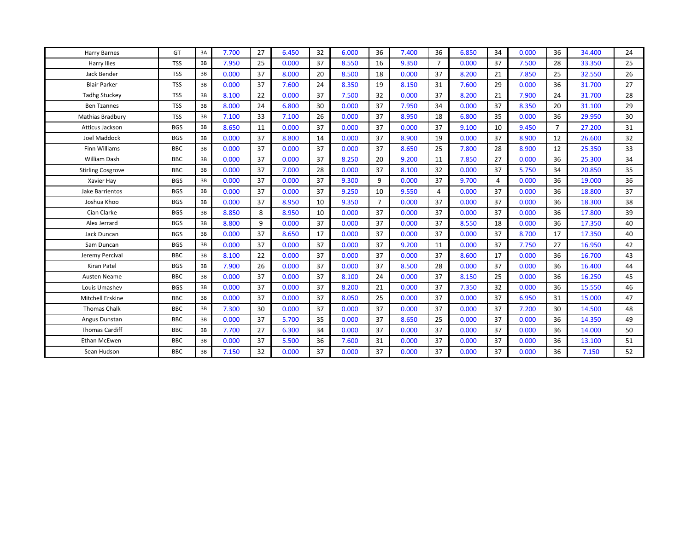| <b>Harry Barnes</b>      | GT         | 3A | 7.700 | 27 | 6.450 | 32 | 6.000 | 36             | 7.400 | 36             | 6.850 | 34             | 0.000 | 36             | 34.400 | 24 |
|--------------------------|------------|----|-------|----|-------|----|-------|----------------|-------|----------------|-------|----------------|-------|----------------|--------|----|
| Harry Illes              | <b>TSS</b> | 3B | 7.950 | 25 | 0.000 | 37 | 8.550 | 16             | 9.350 | $\overline{7}$ | 0.000 | 37             | 7.500 | 28             | 33.350 | 25 |
| <b>Jack Bender</b>       | <b>TSS</b> | 3B | 0.000 | 37 | 8.000 | 20 | 8.500 | 18             | 0.000 | 37             | 8.200 | 21             | 7.850 | 25             | 32.550 | 26 |
| <b>Blair Parker</b>      | <b>TSS</b> | 3B | 0.000 | 37 | 7.600 | 24 | 8.350 | 19             | 8.150 | 31             | 7.600 | 29             | 0.000 | 36             | 31.700 | 27 |
| <b>Tadhg Stuckey</b>     | <b>TSS</b> | 3B | 8.100 | 22 | 0.000 | 37 | 7.500 | 32             | 0.000 | 37             | 8.200 | 21             | 7.900 | 24             | 31.700 | 28 |
| <b>Ben Tzannes</b>       | <b>TSS</b> | 3B | 8.000 | 24 | 6.800 | 30 | 0.000 | 37             | 7.950 | 34             | 0.000 | 37             | 8.350 | 20             | 31.100 | 29 |
| Mathias Bradbury         | <b>TSS</b> | 3B | 7.100 | 33 | 7.100 | 26 | 0.000 | 37             | 8.950 | 18             | 6.800 | 35             | 0.000 | 36             | 29.950 | 30 |
| Atticus Jackson          | <b>BGS</b> | 3B | 8.650 | 11 | 0.000 | 37 | 0.000 | 37             | 0.000 | 37             | 9.100 | 10             | 9.450 | $\overline{7}$ | 27.200 | 31 |
| Joel Maddock             | <b>BGS</b> | 3B | 0.000 | 37 | 8.800 | 14 | 0.000 | 37             | 8.900 | 19             | 0.000 | 37             | 8.900 | 12             | 26.600 | 32 |
| Finn Williams            | <b>BBC</b> | 3B | 0.000 | 37 | 0.000 | 37 | 0.000 | 37             | 8.650 | 25             | 7.800 | 28             | 8.900 | 12             | 25.350 | 33 |
| <b>William Dash</b>      | <b>BBC</b> | 3B | 0.000 | 37 | 0.000 | 37 | 8.250 | 20             | 9.200 | 11             | 7.850 | 27             | 0.000 | 36             | 25.300 | 34 |
| <b>Stirling Cosgrove</b> | <b>BBC</b> | 3B | 0.000 | 37 | 7.000 | 28 | 0.000 | 37             | 8.100 | 32             | 0.000 | 37             | 5.750 | 34             | 20.850 | 35 |
| Xavier Hay               | <b>BGS</b> | 3B | 0.000 | 37 | 0.000 | 37 | 9.300 | 9              | 0.000 | 37             | 9.700 | $\overline{4}$ | 0.000 | 36             | 19.000 | 36 |
| Jake Barrientos          | <b>BGS</b> | 3B | 0.000 | 37 | 0.000 | 37 | 9.250 | 10             | 9.550 | $\overline{4}$ | 0.000 | 37             | 0.000 | 36             | 18.800 | 37 |
| Joshua Khoo              | <b>BGS</b> | 3B | 0.000 | 37 | 8.950 | 10 | 9.350 | $\overline{7}$ | 0.000 | 37             | 0.000 | 37             | 0.000 | 36             | 18.300 | 38 |
| Cian Clarke              | <b>BGS</b> | 3B | 8.850 | 8  | 8.950 | 10 | 0.000 | 37             | 0.000 | 37             | 0.000 | 37             | 0.000 | 36             | 17.800 | 39 |
| Alex Jerrard             | <b>BGS</b> | 3B | 8.800 | 9  | 0.000 | 37 | 0.000 | 37             | 0.000 | 37             | 8.550 | 18             | 0.000 | 36             | 17.350 | 40 |
| Jack Duncan              | <b>BGS</b> | 3B | 0.000 | 37 | 8.650 | 17 | 0.000 | 37             | 0.000 | 37             | 0.000 | 37             | 8.700 | 17             | 17.350 | 40 |
| Sam Duncan               | <b>BGS</b> | 3B | 0.000 | 37 | 0.000 | 37 | 0.000 | 37             | 9.200 | 11             | 0.000 | 37             | 7.750 | 27             | 16.950 | 42 |
| Jeremy Percival          | <b>BBC</b> | 3B | 8.100 | 22 | 0.000 | 37 | 0.000 | 37             | 0.000 | 37             | 8.600 | 17             | 0.000 | 36             | 16.700 | 43 |
| Kiran Patel              | <b>BGS</b> | 3B | 7.900 | 26 | 0.000 | 37 | 0.000 | 37             | 8.500 | 28             | 0.000 | 37             | 0.000 | 36             | 16.400 | 44 |
| Austen Neame             | BBC        | 3B | 0.000 | 37 | 0.000 | 37 | 8.100 | 24             | 0.000 | 37             | 8.150 | 25             | 0.000 | 36             | 16.250 | 45 |
| Louis Umashev            | <b>BGS</b> | 3B | 0.000 | 37 | 0.000 | 37 | 8.200 | 21             | 0.000 | 37             | 7.350 | 32             | 0.000 | 36             | 15.550 | 46 |
| <b>Mitchell Erskine</b>  | BBC        | 3B | 0.000 | 37 | 0.000 | 37 | 8.050 | 25             | 0.000 | 37             | 0.000 | 37             | 6.950 | 31             | 15.000 | 47 |
| <b>Thomas Chalk</b>      | <b>BBC</b> | 3B | 7.300 | 30 | 0.000 | 37 | 0.000 | 37             | 0.000 | 37             | 0.000 | 37             | 7.200 | 30             | 14.500 | 48 |
| Angus Dunstan            | <b>BBC</b> | 3B | 0.000 | 37 | 5.700 | 35 | 0.000 | 37             | 8.650 | 25             | 0.000 | 37             | 0.000 | 36             | 14.350 | 49 |
| <b>Thomas Cardiff</b>    | <b>BBC</b> | 3B | 7.700 | 27 | 6.300 | 34 | 0.000 | 37             | 0.000 | 37             | 0.000 | 37             | 0.000 | 36             | 14.000 | 50 |
| <b>Ethan McEwen</b>      | <b>BBC</b> | 3B | 0.000 | 37 | 5.500 | 36 | 7.600 | 31             | 0.000 | 37             | 0.000 | 37             | 0.000 | 36             | 13.100 | 51 |
| Sean Hudson              | <b>BBC</b> | 3B | 7.150 | 32 | 0.000 | 37 | 0.000 | 37             | 0.000 | 37             | 0.000 | 37             | 0.000 | 36             | 7.150  | 52 |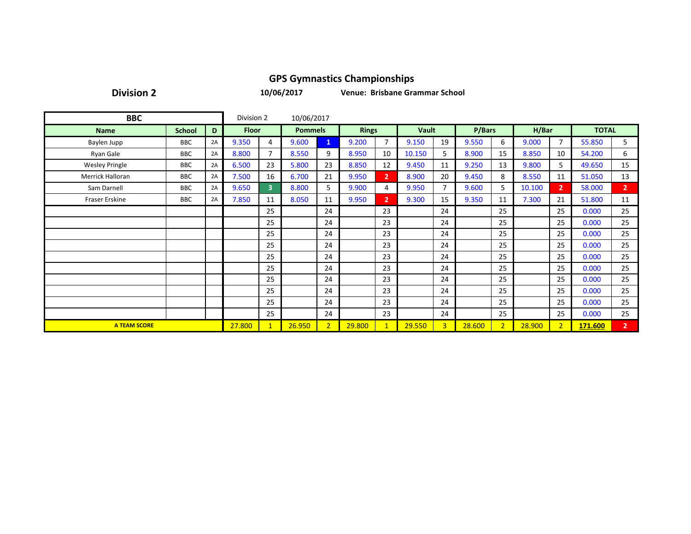**Division 2**

**10/06/2017**

**Venue: Brisbane Grammar School**

| <b>BBC</b>            |               |    |              |                         | 10/06/2017     |                |              |                |              |                |        |                |        |                |              |                |
|-----------------------|---------------|----|--------------|-------------------------|----------------|----------------|--------------|----------------|--------------|----------------|--------|----------------|--------|----------------|--------------|----------------|
| <b>Name</b>           | <b>School</b> | D  | <b>Floor</b> |                         | <b>Pommels</b> |                | <b>Rings</b> |                | <b>Vault</b> |                | P/Bars |                | H/Bar  |                | <b>TOTAL</b> |                |
| Baylen Jupp           | <b>BBC</b>    | 2A | 9.350        | 4                       | 9.600          | $\mathbf{1}$   | 9.200        | $\overline{7}$ | 9.150        | 19             | 9.550  | 6              | 9.000  | $\overline{7}$ | 55.850       | 5              |
| Ryan Gale             | <b>BBC</b>    | 2A | 8.800        | 7                       | 8.550          | 9              | 8.950        | 10             | 10.150       | 5              | 8.900  | 15             | 8.850  | 10             | 54.200       | 6              |
| <b>Wesley Pringle</b> | <b>BBC</b>    | 2A | 6.500        | 23                      | 5.800          | 23             | 8.850        | 12             | 9.450        | 11             | 9.250  | 13             | 9.800  | 5.             | 49.650       | 15             |
| Merrick Halloran      | <b>BBC</b>    | 2A | 7.500        | 16                      | 6.700          | 21             | 9.950        | $\overline{2}$ | 8.900        | 20             | 9.450  | 8              | 8.550  | 11             | 51.050       | 13             |
| Sam Darnell           | <b>BBC</b>    | 2A | 9.650        | $\overline{\mathbf{3}}$ | 8.800          | 5              | 9.900        | 4              | 9.950        | $\overline{7}$ | 9.600  | 5              | 10.100 | 2 <sup>1</sup> | 58.000       | 2 <sup>1</sup> |
| Fraser Erskine        | <b>BBC</b>    | 2A | 7.850        | 11                      | 8.050          | 11             | 9.950        | $\overline{2}$ | 9.300        | 15             | 9.350  | 11             | 7.300  | 21             | 51.800       | 11             |
|                       |               |    |              | 25                      |                | 24             |              | 23             |              | 24             |        | 25             |        | 25             | 0.000        | 25             |
|                       |               |    |              | 25                      |                | 24             |              | 23             |              | 24             |        | 25             |        | 25             | 0.000        | 25             |
|                       |               |    |              | 25                      |                | 24             |              | 23             |              | 24             |        | 25             |        | 25             | 0.000        | 25             |
|                       |               |    |              | 25                      |                | 24             |              | 23             |              | 24             |        | 25             |        | 25             | 0.000        | 25             |
|                       |               |    |              | 25                      |                | 24             |              | 23             |              | 24             |        | 25             |        | 25             | 0.000        | 25             |
|                       |               |    |              | 25                      |                | 24             |              | 23             |              | 24             |        | 25             |        | 25             | 0.000        | 25             |
|                       |               |    |              | 25                      |                | 24             |              | 23             |              | 24             |        | 25             |        | 25             | 0.000        | 25             |
|                       |               |    |              | 25                      |                | 24             |              | 23             |              | 24             |        | 25             |        | 25             | 0.000        | 25             |
|                       |               |    |              | 25                      |                | 24             |              | 23             |              | 24             |        | 25             |        | 25             | 0.000        | 25             |
|                       |               |    |              | 25                      |                | 24             |              | 23             |              | 24             |        | 25             |        | 25             | 0.000        | 25             |
| <b>A TEAM SCORE</b>   |               |    | 27.800       | $\mathbf 1$             | 26.950         | 2 <sup>1</sup> | 29.800       | $\mathbf{1}$   | 29.550       | $\overline{3}$ | 28.600 | 2 <sup>1</sup> | 28.900 | $\overline{2}$ | 171.600      | 2 <sup>7</sup> |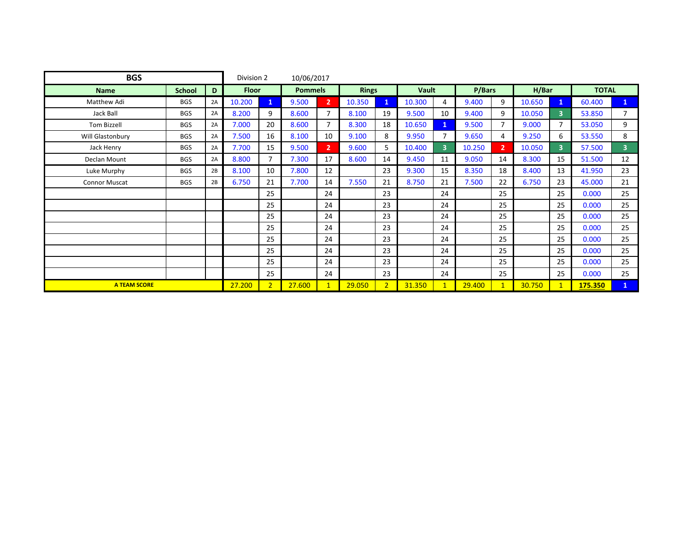| <b>BGS</b>           |               |    |              |                | 10/06/2017     |                |              |                |              |                         |        |                |        |                |              |                |
|----------------------|---------------|----|--------------|----------------|----------------|----------------|--------------|----------------|--------------|-------------------------|--------|----------------|--------|----------------|--------------|----------------|
| <b>Name</b>          | <b>School</b> | D  | <b>Floor</b> |                | <b>Pommels</b> |                | <b>Rings</b> |                | <b>Vault</b> |                         | P/Bars |                | H/Bar  |                | <b>TOTAL</b> |                |
| Matthew Adi          | <b>BGS</b>    | 2A | 10.200       | $\mathbf{1}$   | 9.500          | $\overline{2}$ | 10.350       | $\mathbf{1}$   | 10.300       | 4                       | 9.400  | 9              | 10.650 | $\mathbf{1}$   | 60.400       | $\mathbf{1}$   |
| Jack Ball            | <b>BGS</b>    | 2A | 8.200        | 9              | 8.600          | $\overline{7}$ | 8.100        | 19             | 9.500        | 10                      | 9.400  | 9              | 10.050 | $\overline{3}$ | 53.850       | $\overline{7}$ |
| Tom Bizzell          | <b>BGS</b>    | 2A | 7.000        | 20             | 8.600          | $\overline{7}$ | 8.300        | 18             | 10.650       | $\mathbf{1}$            | 9.500  | $\overline{7}$ | 9.000  | $\overline{7}$ | 53.050       | 9              |
| Will Glastonbury     | <b>BGS</b>    | 2A | 7.500        | 16             | 8.100          | 10             | 9.100        | 8              | 9.950        | 7                       | 9.650  | 4              | 9.250  | 6              | 53.550       | 8              |
| Jack Henry           | <b>BGS</b>    | 2A | 7.700        | 15             | 9.500          | 2 <sup>1</sup> | 9.600        | 5.             | 10.400       | $\overline{\mathbf{3}}$ | 10.250 | 2.             | 10.050 | $\overline{3}$ | 57.500       | $\overline{3}$ |
| Declan Mount         | <b>BGS</b>    | 2A | 8.800        | $\overline{7}$ | 7.300          | 17             | 8.600        | 14             | 9.450        | 11                      | 9.050  | 14             | 8.300  | 15             | 51.500       | 12             |
| Luke Murphy          | <b>BGS</b>    | 2B | 8.100        | 10             | 7.800          | 12             |              | 23             | 9.300        | 15                      | 8.350  | 18             | 8.400  | 13             | 41.950       | 23             |
| <b>Connor Muscat</b> | <b>BGS</b>    | 2B | 6.750        | 21             | 7.700          | 14             | 7.550        | 21             | 8.750        | 21                      | 7.500  | 22             | 6.750  | 23             | 45.000       | 21             |
|                      |               |    |              | 25             |                | 24             |              | 23             |              | 24                      |        | 25             |        | 25             | 0.000        | 25             |
|                      |               |    |              | 25             |                | 24             |              | 23             |              | 24                      |        | 25             |        | 25             | 0.000        | 25             |
|                      |               |    |              | 25             |                | 24             |              | 23             |              | 24                      |        | 25             |        | 25             | 0.000        | 25             |
|                      |               |    |              | 25             |                | 24             |              | 23             |              | 24                      |        | 25             |        | 25             | 0.000        | 25             |
|                      |               |    |              | 25             |                | 24             |              | 23             |              | 24                      |        | 25             |        | 25             | 0.000        | 25             |
|                      |               |    |              | 25             |                | 24             |              | 23             |              | 24                      |        | 25             |        | 25             | 0.000        | 25             |
|                      |               |    |              | 25             |                | 24             |              | 23             |              | 24                      |        | 25             |        | 25             | 0.000        | 25             |
|                      |               |    |              | 25             |                | 24             |              | 23             |              | 24                      |        | 25             |        | 25             | 0.000        | 25             |
| <b>A TEAM SCORE</b>  |               |    | 27.200       | $\overline{2}$ | 27.600         | $\mathbf{1}$   | 29.050       | 2 <sup>1</sup> | 31.350       | $\mathbf{1}$            | 29.400 | $\mathbf{1}$   | 30.750 | $\mathbf{1}$   | 175.350      | $\mathbf{1}$   |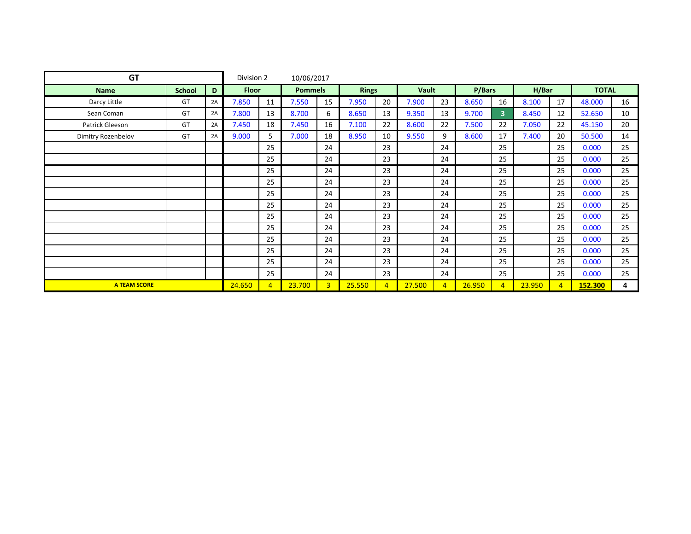| <b>GT</b>           |               |    |              |                | 10/06/2017     |                |        |                |              |                |        |                         |        |                |              |    |
|---------------------|---------------|----|--------------|----------------|----------------|----------------|--------|----------------|--------------|----------------|--------|-------------------------|--------|----------------|--------------|----|
| <b>Name</b>         | <b>School</b> | D  | <b>Floor</b> |                | <b>Pommels</b> |                | Rings  |                | <b>Vault</b> |                | P/Bars |                         | H/Bar  |                | <b>TOTAL</b> |    |
| Darcy Little        | GT            | 2A | 7.850        | 11             | 7.550          | 15             | 7.950  | 20             | 7.900        | 23             | 8.650  | 16                      | 8.100  | 17             | 48.000       | 16 |
| Sean Coman          | GT            | 2A | 7.800        | 13             | 8.700          | 6              | 8.650  | 13             | 9.350        | 13             | 9.700  | $\overline{\mathbf{3}}$ | 8.450  | 12             | 52.650       | 10 |
| Patrick Gleeson     | GT            | 2A | 7.450        | 18             | 7.450          | 16             | 7.100  | 22             | 8.600        | 22             | 7.500  | 22                      | 7.050  | 22             | 45.150       | 20 |
| Dimitry Rozenbelov  | GT            | 2A | 9.000        | 5              | 7.000          | 18             | 8.950  | 10             | 9.550        | 9              | 8.600  | 17                      | 7.400  | 20             | 50.500       | 14 |
|                     |               |    |              | 25             |                | 24             |        | 23             |              | 24             |        | 25                      |        | 25             | 0.000        | 25 |
|                     |               |    |              | 25             |                | 24             |        | 23             |              | 24             |        | 25                      |        | 25             | 0.000        | 25 |
|                     |               |    |              | 25             |                | 24             |        | 23             |              | 24             |        | 25                      |        | 25             | 0.000        | 25 |
|                     |               |    |              | 25             |                | 24             |        | 23             |              | 24             |        | 25                      |        | 25             | 0.000        | 25 |
|                     |               |    |              | 25             |                | 24             |        | 23             |              | 24             |        | 25                      |        | 25             | 0.000        | 25 |
|                     |               |    |              | 25             |                | 24             |        | 23             |              | 24             |        | 25                      |        | 25             | 0.000        | 25 |
|                     |               |    |              | 25             |                | 24             |        | 23             |              | 24             |        | 25                      |        | 25             | 0.000        | 25 |
|                     |               |    |              | 25             |                | 24             |        | 23             |              | 24             |        | 25                      |        | 25             | 0.000        | 25 |
|                     |               |    |              | 25             |                | 24             |        | 23             |              | 24             |        | 25                      |        | 25             | 0.000        | 25 |
|                     |               |    |              | 25             |                | 24             |        | 23             |              | 24             |        | 25                      |        | 25             | 0.000        | 25 |
|                     |               |    |              | 25             |                | 24             |        | 23             |              | 24             |        | 25                      |        | 25             | 0.000        | 25 |
|                     |               |    |              | 25             |                | 24             |        | 23             |              | 24             |        | 25                      |        | 25             | 0.000        | 25 |
| <b>A TEAM SCORE</b> |               |    | 24.650       | $\overline{4}$ | 23.700         | 3 <sup>1</sup> | 25.550 | $\overline{4}$ | 27.500       | $\overline{4}$ | 26.950 | $\overline{4}$          | 23.950 | $\overline{4}$ | 152.300      | 4  |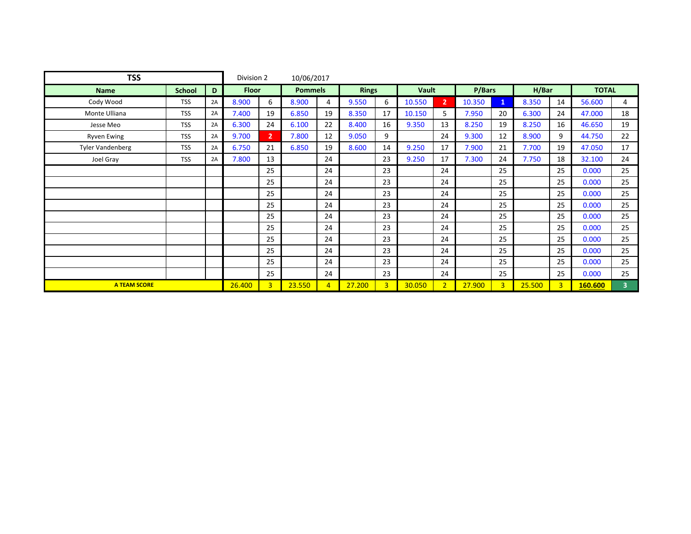| <b>TSS</b>              |               |    |              |                | 10/06/2017     |                |              |                |              |                |        |                |        |                |              |    |
|-------------------------|---------------|----|--------------|----------------|----------------|----------------|--------------|----------------|--------------|----------------|--------|----------------|--------|----------------|--------------|----|
| <b>Name</b>             | <b>School</b> | D  | <b>Floor</b> |                | <b>Pommels</b> |                | <b>Rings</b> |                | <b>Vault</b> |                | P/Bars |                | H/Bar  |                | <b>TOTAL</b> |    |
| Cody Wood               | <b>TSS</b>    | 2A | 8.900        | 6              | 8.900          | 4              | 9.550        | 6              | 10.550       | $\overline{2}$ | 10.350 | 1              | 8.350  | 14             | 56.600       | 4  |
| Monte Ulliana           | <b>TSS</b>    | 2A | 7.400        | 19             | 6.850          | 19             | 8.350        | 17             | 10.150       | 5              | 7.950  | 20             | 6.300  | 24             | 47.000       | 18 |
| Jesse Meo               | <b>TSS</b>    | 2A | 6.300        | 24             | 6.100          | 22             | 8.400        | 16             | 9.350        | 13             | 8.250  | 19             | 8.250  | 16             | 46.650       | 19 |
| <b>Ryven Ewing</b>      | <b>TSS</b>    | 2A | 9.700        | $\overline{2}$ | 7.800          | 12             | 9.050        | 9              |              | 24             | 9.300  | 12             | 8.900  | 9              | 44.750       | 22 |
| <b>Tyler Vandenberg</b> | <b>TSS</b>    | 2A | 6.750        | 21             | 6.850          | 19             | 8.600        | 14             | 9.250        | 17             | 7.900  | 21             | 7.700  | 19             | 47.050       | 17 |
| Joel Gray               | <b>TSS</b>    | 2A | 7.800        | 13             |                | 24             |              | 23             | 9.250        | 17             | 7.300  | 24             | 7.750  | 18             | 32.100       | 24 |
|                         |               |    |              | 25             |                | 24             |              | 23             |              | 24             |        | 25             |        | 25             | 0.000        | 25 |
|                         |               |    |              | 25             |                | 24             |              | 23             |              | 24             |        | 25             |        | 25             | 0.000        | 25 |
|                         |               |    |              | 25             |                | 24             |              | 23             |              | 24             |        | 25             |        | 25             | 0.000        | 25 |
|                         |               |    |              | 25             |                | 24             |              | 23             |              | 24             |        | 25             |        | 25             | 0.000        | 25 |
|                         |               |    |              | 25             |                | 24             |              | 23             |              | 24             |        | 25             |        | 25             | 0.000        | 25 |
|                         |               |    |              | 25             |                | 24             |              | 23             |              | 24             |        | 25             |        | 25             | 0.000        | 25 |
|                         |               |    |              | 25             |                | 24             |              | 23             |              | 24             |        | 25             |        | 25             | 0.000        | 25 |
|                         |               |    |              | 25             |                | 24             |              | 23             |              | 24             |        | 25             |        | 25             | 0.000        | 25 |
|                         |               |    |              | 25             |                | 24             |              | 23             |              | 24             |        | 25             |        | 25             | 0.000        | 25 |
|                         |               |    |              | 25             |                | 24             |              | 23             |              | 24             |        | 25             |        | 25             | 0.000        | 25 |
| <b>A TEAM SCORE</b>     |               |    | 26,400       | 3              | 23.550         | $\overline{4}$ | 27.200       | $\overline{3}$ | 30.050       | $\overline{2}$ | 27.900 | $\overline{3}$ | 25.500 | $\overline{3}$ | 160.600      | 3  |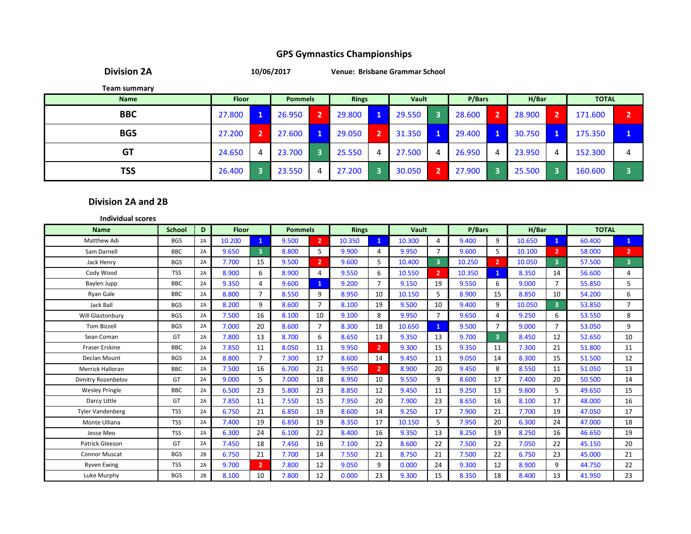**Division 2A**

**10/06/2017 Venue: Brisbane Grammar School**

**Team summary**

| <b>Name</b> | <b>Floor</b> |   | <b>Pommels</b> |                | <b>Rings</b> |   | Vault  |                        | P/Bars |                | H/Bar  |   | <b>TOTAL</b> |   |
|-------------|--------------|---|----------------|----------------|--------------|---|--------|------------------------|--------|----------------|--------|---|--------------|---|
| <b>BBC</b>  | 27.800       |   | 26.950         | $\overline{2}$ | 29.800       |   | 29.550 |                        | 28.600 | $\overline{2}$ | 28.900 |   | 171.600      |   |
| <b>BGS</b>  | 27.200       |   | 27.600         | 1.             | 29.050       |   | 31.350 |                        | 29.400 |                | 30.750 |   | 175.350      |   |
| GT          | 24.650       | 4 | 23.700         |                | 25.550       | 4 | 27.500 | 4                      | 26.950 | 4              | 23.950 | 4 | 152.300      | д |
| TSS         | 26.400       |   | 23.550         |                | 27.200       |   | 30.050 | $\mathbf{\mathcal{P}}$ | 27.900 |                | 25.500 |   | 160.600      |   |

#### **Division 2A and 2B**

| <b>Individual scores</b>  |            |    |              |                |                |                |              |                |        |                         |        |                         |        |                |              |                         |
|---------------------------|------------|----|--------------|----------------|----------------|----------------|--------------|----------------|--------|-------------------------|--------|-------------------------|--------|----------------|--------------|-------------------------|
| <b>Name</b>               | School     | D  | <b>Floor</b> |                | <b>Pommels</b> |                | <b>Rings</b> |                | Vault  |                         | P/Bars |                         | H/Bar  |                | <b>TOTAL</b> |                         |
| Matthew Adi               | <b>BGS</b> | 2A | 10.200       | $\mathbf{1}$   | 9.500          | $\overline{2}$ | 10.350       | 1              | 10.300 | 4                       | 9.400  | 9                       | 10.650 | $\mathbf{1}$   | 60.400       | $\mathbf{1}$            |
| Sam Darnell               | <b>BBC</b> | 2A | 9.650        | $\overline{3}$ | 8.800          | 5              | 9.900        | 4              | 9.950  | $\overline{7}$          | 9.600  | 5                       | 10.100 | $\mathbf{2}$   | 58.000       | $\overline{2}$          |
| Jack Henry                | <b>BGS</b> | 2A | 7.700        | 15             | 9.500          | $\overline{2}$ | 9.600        | 5              | 10.400 | $\overline{\mathbf{3}}$ | 10.250 | $\overline{2}$          | 10.050 | 3              | 57.500       | $\overline{\mathbf{3}}$ |
| Cody Wood                 | <b>TSS</b> | 2A | 8.900        | 6              | 8.900          | 4              | 9.550        | 6              | 10.550 | $\overline{2}$          | 10.350 | $\mathbf{1}$            | 8.350  | 14             | 56.600       | 4                       |
| Baylen Jupp               | <b>BBC</b> | 2A | 9.350        | 4              | 9.600          | $\mathbf{1}$   | 9.200        | $\overline{7}$ | 9.150  | 19                      | 9.550  | 6                       | 9.000  | $\overline{7}$ | 55.850       | 5                       |
| Ryan Gale                 | <b>BBC</b> | 2A | 8.800        | $\overline{7}$ | 8.550          | 9              | 8.950        | 10             | 10.150 | 5                       | 8.900  | 15                      | 8.850  | 10             | 54.200       | 6                       |
| Jack Ball                 | <b>BGS</b> | 2A | 8.200        | 9              | 8.600          | $\overline{7}$ | 8.100        | 19             | 9.500  | 10                      | 9.400  | 9                       | 10.050 | 3              | 53.850       | $\overline{7}$          |
| Will Glastonbury          | <b>BGS</b> | 2A | 7.500        | 16             | 8.100          | 10             | 9.100        | 8              | 9.950  | $\overline{7}$          | 9.650  | 4                       | 9.250  | 6              | 53.550       | 8                       |
| <b>Tom Bizzell</b>        | <b>BGS</b> | 2A | 7.000        | 20             | 8.600          | $\overline{7}$ | 8.300        | 18             | 10.650 | 1                       | 9.500  | $\overline{7}$          | 9.000  | $\overline{7}$ | 53.050       | 9                       |
| Sean Coman                | GT         | 2A | 7.800        | 13             | 8.700          | 6              | 8.650        | 13             | 9.350  | 13                      | 9.700  | $\overline{\mathbf{3}}$ | 8.450  | 12             | 52.650       | 10                      |
| Fraser Erskine            | <b>BBC</b> | 2A | 7.850        | 11             | 8.050          | 11             | 9.950        | 2              | 9.300  | 15                      | 9.350  | 11                      | 7.300  | 21             | 51.800       | 11                      |
| Declan Mount              | <b>BGS</b> | 2A | 8.800        | $\overline{7}$ | 7.300          | 17             | 8.600        | 14             | 9.450  | 11                      | 9.050  | 14                      | 8.300  | 15             | 51.500       | 12                      |
| <b>Merrick Halloran</b>   | <b>BBC</b> | 2A | 7.500        | 16             | 6.700          | 21             | 9.950        | $\overline{2}$ | 8.900  | 20                      | 9.450  | 8                       | 8.550  | 11             | 51.050       | 13                      |
| <b>Dimitry Rozenbelov</b> | GT         | 2A | 9.000        | 5              | 7.000          | 18             | 8.950        | 10             | 9.550  | 9                       | 8.600  | 17                      | 7.400  | 20             | 50.500       | 14                      |
| <b>Wesley Pringle</b>     | <b>BBC</b> | 2A | 6.500        | 23             | 5.800          | 23             | 8.850        | 12             | 9.450  | 11                      | 9.250  | 13                      | 9.800  | 5              | 49.650       | 15                      |
| Darcy Little              | GT         | 2A | 7.850        | 11             | 7.550          | 15             | 7.950        | 20             | 7.900  | 23                      | 8.650  | 16                      | 8.100  | 17             | 48.000       | 16                      |
| <b>Tyler Vandenberg</b>   | <b>TSS</b> | 2A | 6.750        | 21             | 6.850          | 19             | 8.600        | 14             | 9.250  | 17                      | 7.900  | 21                      | 7.700  | 19             | 47.050       | 17                      |
| Monte Ulliana             | <b>TSS</b> | 2A | 7.400        | 19             | 6.850          | 19             | 8.350        | 17             | 10.150 | 5                       | 7.950  | 20                      | 6.300  | 24             | 47.000       | 18                      |
| Jesse Meo                 | <b>TSS</b> | 2A | 6.300        | 24             | 6.100          | 22             | 8.400        | 16             | 9.350  | 13                      | 8.250  | 19                      | 8.250  | 16             | 46.650       | 19                      |
| Patrick Gleeson           | GT         | 2A | 7.450        | 18             | 7.450          | 16             | 7.100        | 22             | 8.600  | 22                      | 7.500  | 22                      | 7.050  | 22             | 45.150       | 20                      |
| <b>Connor Muscat</b>      | <b>BGS</b> | 2B | 6.750        | 21             | 7.700          | 14             | 7.550        | 21             | 8.750  | 21                      | 7.500  | 22                      | 6.750  | 23             | 45.000       | 21                      |
| <b>Ryven Ewing</b>        | <b>TSS</b> | 2A | 9.700        | $\mathbf{2}$   | 7.800          | 12             | 9.050        | 9              | 0.000  | 24                      | 9.300  | 12                      | 8.900  | 9              | 44.750       | 22                      |
| Luke Murphy               | <b>BGS</b> | 2B | 8.100        | 10             | 7.800          | 12             | 0.000        | 23             | 9.300  | 15                      | 8.350  | 18                      | 8.400  | 13             | 41.950       | 23                      |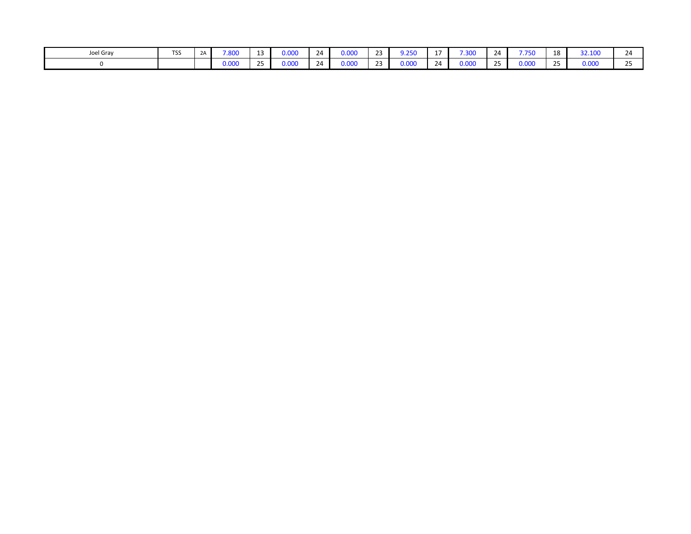| Joel Gray | <b>TSS</b> | <u>_</u> | 7.800 | 0.000 | 24 | 0.000 | $\sim$ $\sim$ | $\mathcal{L}$<br>. | $\overline{\phantom{a}}$ | 7.300<br>ישכ. | 24            | フ フロイ<br>יכ ז | 18              | 32.100 | <u> 14</u><br>. .   |
|-----------|------------|----------|-------|-------|----|-------|---------------|--------------------|--------------------------|---------------|---------------|---------------|-----------------|--------|---------------------|
|           |            |          | 0.000 | 0.000 | 24 | 0.000 | $\sim$        | 0.000              | 24                       | 0.000         | $\sim$ $\sim$ | 0.000         | $\sim$ $-$<br>້ | 0.000  | $\sim$ $\sim$<br>-- |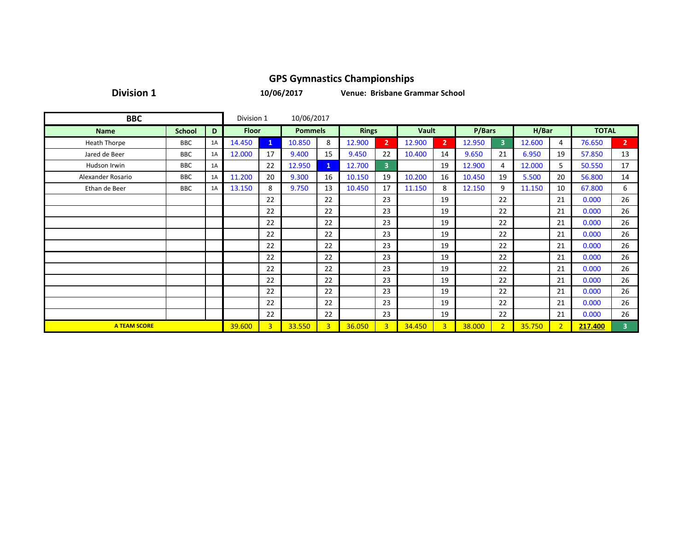**Division 1**

**10/06/2017**

**Venue: Brisbane Grammar School**

| <b>BBC</b>          |               |    | Division 1   |              | 10/06/2017     |                |              |                         |              |                |        |                |        |                |              |                |
|---------------------|---------------|----|--------------|--------------|----------------|----------------|--------------|-------------------------|--------------|----------------|--------|----------------|--------|----------------|--------------|----------------|
| <b>Name</b>         | <b>School</b> | D  | <b>Floor</b> |              | <b>Pommels</b> |                | <b>Rings</b> |                         | <b>Vault</b> |                | P/Bars |                | H/Bar  |                | <b>TOTAL</b> |                |
| <b>Heath Thorpe</b> | BBC           | 1A | 14.450       | $\mathbf{1}$ | 10.850         | 8              | 12.900       | $\overline{2}$          | 12.900       | $\overline{2}$ | 12.950 | $\overline{3}$ | 12.600 | 4              | 76.650       | $\overline{2}$ |
| Jared de Beer       | <b>BBC</b>    | 1A | 12.000       | 17           | 9.400          | 15             | 9.450        | 22                      | 10.400       | 14             | 9.650  | 21             | 6.950  | 19             | 57.850       | 13             |
| Hudson Irwin        | BBC           | 1A |              | 22           | 12.950         | $\mathbf{1}$   | 12.700       | $\overline{\mathbf{3}}$ |              | 19             | 12.900 | 4              | 12.000 | 5              | 50.550       | 17             |
| Alexander Rosario   | BBC           | 1A | 11.200       | 20           | 9.300          | 16             | 10.150       | 19                      | 10.200       | 16             | 10.450 | 19             | 5.500  | 20             | 56.800       | 14             |
| Ethan de Beer       | BBC           | 1A | 13.150       | 8            | 9.750          | 13             | 10.450       | 17                      | 11.150       | 8              | 12.150 | 9              | 11.150 | 10             | 67.800       | 6              |
|                     |               |    |              | 22           |                | 22             |              | 23                      |              | 19             |        | 22             |        | 21             | 0.000        | 26             |
|                     |               |    |              | 22           |                | 22             |              | 23                      |              | 19             |        | 22             |        | 21             | 0.000        | 26             |
|                     |               |    |              | 22           |                | 22             |              | 23                      |              | 19             |        | 22             |        | 21             | 0.000        | 26             |
|                     |               |    |              | 22           |                | 22             |              | 23                      |              | 19             |        | 22             |        | 21             | 0.000        | 26             |
|                     |               |    |              | 22           |                | 22             |              | 23                      |              | 19             |        | 22             |        | 21             | 0.000        | 26             |
|                     |               |    |              | 22           |                | 22             |              | 23                      |              | 19             |        | 22             |        | 21             | 0.000        | 26             |
|                     |               |    |              | 22           |                | 22             |              | 23                      |              | 19             |        | 22             |        | 21             | 0.000        | 26             |
|                     |               |    |              | 22           |                | 22             |              | 23                      |              | 19             |        | 22             |        | 21             | 0.000        | 26             |
|                     |               |    |              | 22           |                | 22             |              | 23                      |              | 19             |        | 22             |        | 21             | 0.000        | 26             |
|                     |               |    |              | 22           |                | 22             |              | 23                      |              | 19             |        | 22             |        | 21             | 0.000        | 26             |
|                     |               |    |              | 22           |                | 22             |              | 23                      |              | 19             |        | 22             |        | 21             | 0.000        | 26             |
| <b>A TEAM SCORE</b> |               |    | 39.600       | 3            | 33.550         | $\overline{3}$ | 36.050       | $\overline{3}$          | 34.450       | 3              | 38.000 | 2 <sup>1</sup> | 35.750 | 2 <sup>1</sup> | 217.400      | 3              |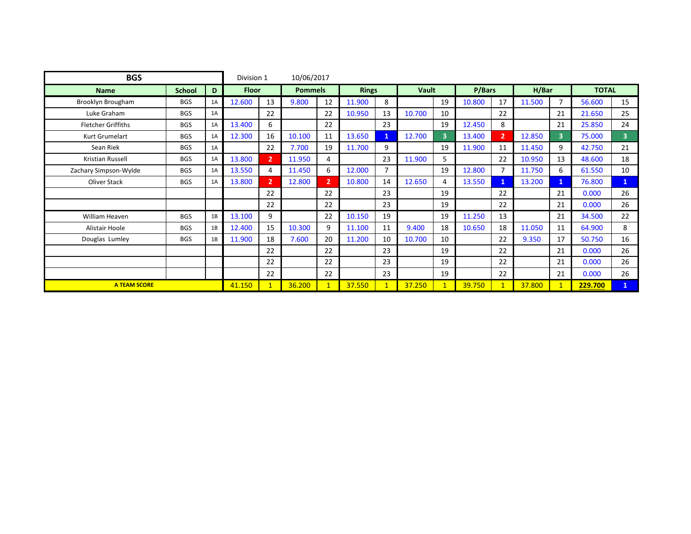| <b>BGS</b>                |               |    | Division 1   |                | 10/06/2017     |                |              |                |              |                         |        |                |        |                |              |                |
|---------------------------|---------------|----|--------------|----------------|----------------|----------------|--------------|----------------|--------------|-------------------------|--------|----------------|--------|----------------|--------------|----------------|
| <b>Name</b>               | <b>School</b> | D  | <b>Floor</b> |                | <b>Pommels</b> |                | <b>Rings</b> |                | <b>Vault</b> |                         | P/Bars |                | H/Bar  |                | <b>TOTAL</b> |                |
| Brooklyn Brougham         | <b>BGS</b>    | 1A | 12.600       | 13             | 9.800          | 12             | 11.900       | 8              |              | 19                      | 10.800 | 17             | 11.500 | $\overline{7}$ | 56.600       | 15             |
| Luke Graham               | <b>BGS</b>    | 1A |              | 22             |                | 22             | 10.950       | 13             | 10.700       | 10                      |        | 22             |        | 21             | 21.650       | 25             |
| <b>Fletcher Griffiths</b> | <b>BGS</b>    | 1A | 13.400       | 6              |                | 22             |              | 23             |              | 19                      | 12.450 | 8              |        | 21             | 25.850       | 24             |
| Kurt Grumelart            | <b>BGS</b>    | 1A | 12.300       | 16             | 10.100         | 11             | 13.650       | $\mathbf{1}$   | 12.700       | $\overline{\mathbf{3}}$ | 13.400 | $\overline{2}$ | 12.850 | $\overline{3}$ | 75.000       | 3 <sup>1</sup> |
| Sean Riek                 | <b>BGS</b>    | 1A |              | 22             | 7.700          | 19             | 11.700       | 9              |              | 19                      | 11.900 | 11             | 11.450 | 9              | 42.750       | 21             |
| Kristian Russell          | <b>BGS</b>    | 1A | 13.800       | $\overline{2}$ | 11.950         | 4              |              | 23             | 11.900       | 5                       |        | 22             | 10.950 | 13             | 48.600       | 18             |
| Zachary Simpson-Wylde     | <b>BGS</b>    | 1A | 13.550       | 4              | 11.450         | 6              | 12.000       | $\overline{7}$ |              | 19                      | 12.800 |                | 11.750 | 6.             | 61.550       | 10             |
| Oliver Stack              | <b>BGS</b>    | 1A | 13.800       | $\overline{2}$ | 12.800         | $\overline{2}$ | 10.800       | 14             | 12.650       | 4                       | 13.550 |                | 13.200 | $\mathbf{1}$   | 76.800       | $\mathbf{1}$   |
|                           |               |    |              | 22             |                | 22             |              | 23             |              | 19                      |        | 22             |        | 21             | 0.000        | 26             |
|                           |               |    |              | 22             |                | 22             |              | 23             |              | 19                      |        | 22             |        | 21             | 0.000        | 26             |
| William Heaven            | <b>BGS</b>    | 1B | 13.100       | 9              |                | 22             | 10.150       | 19             |              | 19                      | 11.250 | 13             |        | 21             | 34.500       | 22             |
| Alistair Hoole            | <b>BGS</b>    | 1B | 12.400       | 15             | 10.300         | 9              | 11.100       | 11             | 9.400        | 18                      | 10.650 | 18             | 11.050 | 11             | 64.900       | 8              |
| Douglas Lumley            | <b>BGS</b>    | 1B | 11.900       | 18             | 7.600          | 20             | 11.200       | 10             | 10.700       | 10                      |        | 22             | 9.350  | 17             | 50.750       | 16             |
|                           |               |    |              | 22             |                | 22             |              | 23             |              | 19                      |        | 22             |        | 21             | 0.000        | 26             |
|                           |               |    |              | 22             |                | 22             |              | 23             |              | 19                      |        | 22             |        | 21             | 0.000        | 26             |
|                           |               |    |              | 22             |                | 22             |              | 23             |              | 19                      |        | 22             |        | 21             | 0.000        | 26             |
| <b>A TEAM SCORE</b>       |               |    | 41.150       | $\mathbf{1}$   | 36.200         | $\mathbf{1}$   | 37.550       | $\mathbf{1}$   | 37.250       | $\overline{1}$          | 39.750 |                | 37.800 |                | 229.700      | $\mathbf{1}$   |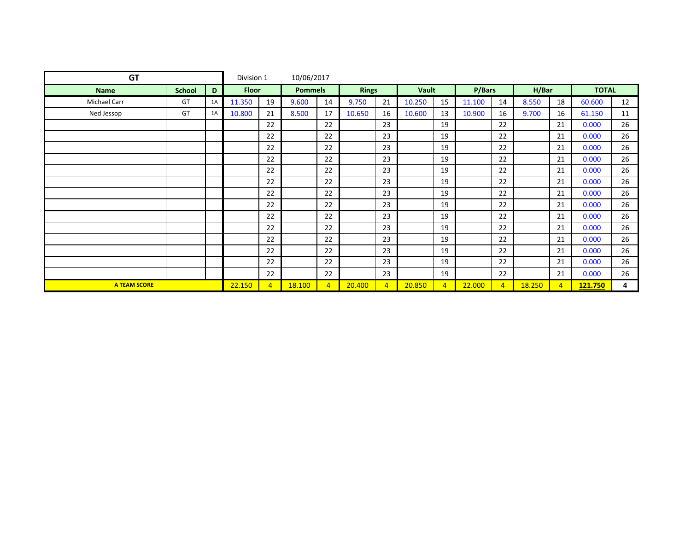| <b>GT</b>           |               |    | Division 1   |                | 10/06/2017     |                |              |                |        |                |        |                |        |                |              |    |
|---------------------|---------------|----|--------------|----------------|----------------|----------------|--------------|----------------|--------|----------------|--------|----------------|--------|----------------|--------------|----|
| <b>Name</b>         | <b>School</b> | D  | <b>Floor</b> |                | <b>Pommels</b> |                | <b>Rings</b> |                | Vault  |                | P/Bars |                | H/Bar  |                | <b>TOTAL</b> |    |
| <b>Michael Carr</b> | GT            | 1A | 11.350       | 19             | 9.600          | 14             | 9.750        | 21             | 10.250 | 15             | 11.100 | 14             | 8.550  | 18             | 60.600       | 12 |
| Ned Jessop          | GT            | 1A | 10.800       | 21             | 8.500          | 17             | 10.650       | 16             | 10.600 | 13             | 10.900 | 16             | 9.700  | 16             | 61.150       | 11 |
|                     |               |    |              | 22             |                | 22             |              | 23             |        | 19             |        | 22             |        | 21             | 0.000        | 26 |
|                     |               |    |              | 22             |                | 22             |              | 23             |        | 19             |        | 22             |        | 21             | 0.000        | 26 |
|                     |               |    |              | 22             |                | 22             |              | 23             |        | 19             |        | 22             |        | 21             | 0.000        | 26 |
|                     |               |    |              | 22             |                | 22             |              | 23             |        | 19             |        | 22             |        | 21             | 0.000        | 26 |
|                     |               |    |              | 22             |                | 22             |              | 23             |        | 19             |        | 22             |        | 21             | 0.000        | 26 |
|                     |               |    |              | 22             |                | 22             |              | 23             |        | 19             |        | 22             |        | 21             | 0.000        | 26 |
|                     |               |    |              | 22             |                | 22             |              | 23             |        | 19             |        | 22             |        | 21             | 0.000        | 26 |
|                     |               |    |              | 22             |                | 22             |              | 23             |        | 19             |        | 22             |        | 21             | 0.000        | 26 |
|                     |               |    |              | 22             |                | 22             |              | 23             |        | 19             |        | 22             |        | 21             | 0.000        | 26 |
|                     |               |    |              | 22             |                | 22             |              | 23             |        | 19             |        | 22             |        | 21             | 0.000        | 26 |
|                     |               |    |              | 22             |                | 22             |              | 23             |        | 19             |        | 22             |        | 21             | 0.000        | 26 |
|                     |               |    |              | 22             |                | 22             |              | 23             |        | 19             |        | 22             |        | 21             | 0.000        | 26 |
|                     |               |    |              | 22             |                | 22             |              | 23             |        | 19             |        | 22             |        | 21             | 0.000        | 26 |
|                     |               |    |              | 22             |                | 22             |              | 23             |        | 19             |        | 22             |        | 21             | 0.000        | 26 |
| <b>A TEAM SCORE</b> |               |    | 22.150       | $\overline{4}$ | 18.100         | $\overline{a}$ | 20.400       | $\overline{4}$ | 20.850 | $\overline{4}$ | 22.000 | $\overline{4}$ | 18.250 | $\overline{4}$ | 121.750      | 4  |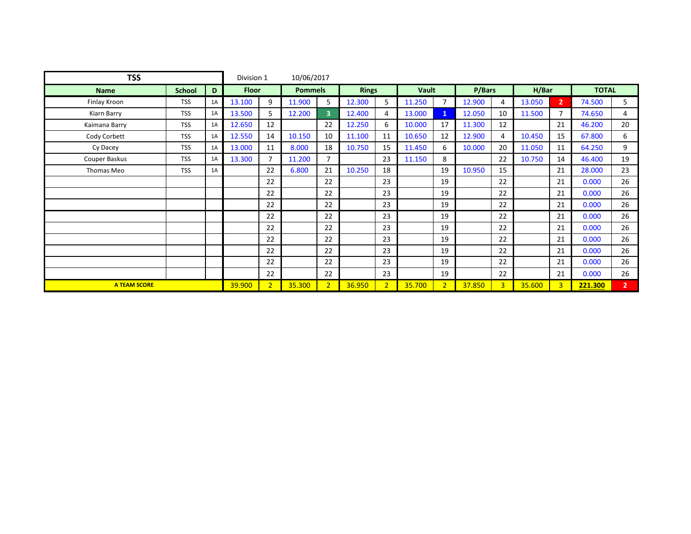| <b>TSS</b>          |               |    | Division 1   |                | 10/06/2017     |                |              |                |              |                |        |                |        |                |              |                |
|---------------------|---------------|----|--------------|----------------|----------------|----------------|--------------|----------------|--------------|----------------|--------|----------------|--------|----------------|--------------|----------------|
| <b>Name</b>         | <b>School</b> | D  | <b>Floor</b> |                | <b>Pommels</b> |                | <b>Rings</b> |                | <b>Vault</b> |                | P/Bars |                | H/Bar  |                | <b>TOTAL</b> |                |
| Finlay Kroon        | <b>TSS</b>    | 1A | 13.100       | 9              | 11.900         | 5              | 12.300       | 5              | 11.250       | $\overline{7}$ | 12.900 | 4              | 13.050 | $\overline{2}$ | 74.500       | 5              |
| Kiarn Barry         | <b>TSS</b>    | 1A | 13.500       | 5              | 12.200         | $\overline{3}$ | 12.400       | 4              | 13.000       | $\mathbf{1}$   | 12.050 | 10             | 11.500 | $\overline{7}$ | 74.650       | 4              |
| Kaimana Barry       | <b>TSS</b>    | 1A | 12.650       | 12             |                | 22             | 12.250       | 6              | 10.000       | 17             | 11.300 | 12             |        | 21             | 46.200       | 20             |
| Cody Corbett        | <b>TSS</b>    | 1A | 12.550       | 14             | 10.150         | 10             | 11.100       | 11             | 10.650       | 12             | 12.900 | 4              | 10.450 | 15             | 67.800       | 6              |
| Cy Dacey            | <b>TSS</b>    | 1A | 13.000       | 11             | 8.000          | 18             | 10.750       | 15             | 11.450       | 6              | 10.000 | 20             | 11.050 | 11             | 64.250       | 9              |
| Couper Baskus       | <b>TSS</b>    | 1A | 13.300       | $\overline{7}$ | 11.200         | $\overline{7}$ |              | 23             | 11.150       | 8              |        | 22             | 10.750 | 14             | 46.400       | 19             |
| Thomas Meo          | <b>TSS</b>    | 1A |              | 22             | 6.800          | 21             | 10.250       | 18             |              | 19             | 10.950 | 15             |        | 21             | 28.000       | 23             |
|                     |               |    |              | 22             |                | 22             |              | 23             |              | 19             |        | 22             |        | 21             | 0.000        | 26             |
|                     |               |    |              | 22             |                | 22             |              | 23             |              | 19             |        | 22             |        | 21             | 0.000        | 26             |
|                     |               |    |              | 22             |                | 22             |              | 23             |              | 19             |        | 22             |        | 21             | 0.000        | 26             |
|                     |               |    |              | 22             |                | 22             |              | 23             |              | 19             |        | 22             |        | 21             | 0.000        | 26             |
|                     |               |    |              | 22             |                | 22             |              | 23             |              | 19             |        | 22             |        | 21             | 0.000        | 26             |
|                     |               |    |              | 22             |                | 22             |              | 23             |              | 19             |        | 22             |        | 21             | 0.000        | 26             |
|                     |               |    |              | 22             |                | 22             |              | 23             |              | 19             |        | 22             |        | 21             | 0.000        | 26             |
|                     |               |    |              | 22             |                | 22             |              | 23             |              | 19             |        | 22             |        | 21             | 0.000        | 26             |
|                     |               |    |              | 22             |                | 22             |              | 23             |              | 19             |        | 22             |        | 21             | 0.000        | 26             |
| <b>A TEAM SCORE</b> |               |    | 39.900       | $\overline{2}$ | 35.300         | $\overline{2}$ | 36.950       | 2 <sup>1</sup> | 35.700       | $\overline{2}$ | 37.850 | $\overline{3}$ | 35.600 | $\overline{3}$ | 221.300      | 2 <sup>7</sup> |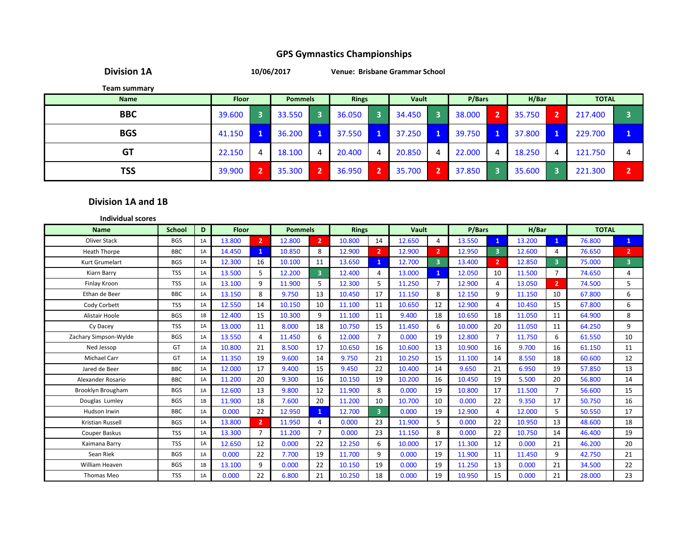**Division 1A**

**10/06/2017 Venue: Brisbane Grammar School**

**Team summary**

| <b>Name</b> | <b>Floor</b> | <b>Pommels</b> |              | <b>Rings</b> | <b>Vault</b> |   | P/Bars | H/Bar  |   | <b>TOTAL</b> |   |
|-------------|--------------|----------------|--------------|--------------|--------------|---|--------|--------|---|--------------|---|
| <b>BBC</b>  | 39.600       | 33.550         |              | 36.050       | 34.450       | В | 38.000 | 35.750 |   | 217.400      |   |
| <b>BGS</b>  | 41.150       | 36.200         | $\mathbf{1}$ | 37.550       | 37.250       | 1 | 39.750 | 37.800 |   | 229.700      |   |
| <b>GT</b>   | 22.150       | 18.100         | 4            | 20.400       | 20.850       | 4 | 22,000 | 18.250 | 4 | 121.750      | 4 |
| <b>TSS</b>  | 39.900       | 35.300         | ∍            | 36.950       | 35.700       | 2 | 37.850 | 35.600 |   | 221.300      | n |

#### **Division 1A and 1B**

| <b>Individual scores</b> |               |    |              |                |                |                         |              |                         |        |                |        |                         |        |                         |              |                         |
|--------------------------|---------------|----|--------------|----------------|----------------|-------------------------|--------------|-------------------------|--------|----------------|--------|-------------------------|--------|-------------------------|--------------|-------------------------|
| <b>Name</b>              | <b>School</b> | D  | <b>Floor</b> |                | <b>Pommels</b> |                         | <b>Rings</b> |                         | Vault  |                | P/Bars |                         | H/Bar  |                         | <b>TOTAL</b> |                         |
| Oliver Stack             | <b>BGS</b>    | 1A | 13.800       | $\overline{2}$ | 12.800         | $\overline{2}$          | 10.800       | 14                      | 12.650 | 4              | 13.550 | $\mathbf{1}$            | 13.200 | $\mathbf{1}$            | 76.800       | $\mathbf{1}$            |
| <b>Heath Thorpe</b>      | <b>BBC</b>    | 1A | 14.450       | $\mathbf{1}$   | 10.850         | 8                       | 12.900       | $\overline{2}$          | 12.900 | $\overline{2}$ | 12.950 | $\overline{\mathbf{3}}$ | 12.600 | 4                       | 76.650       | $\overline{2}$          |
| Kurt Grumelart           | <b>BGS</b>    | 1A | 12.300       | 16             | 10.100         | 11                      | 13.650       | 1                       | 12.700 | $\overline{3}$ | 13.400 | $\overline{2}$          | 12.850 | $\overline{\mathbf{3}}$ | 75,000       | $\overline{\mathbf{3}}$ |
| Kiarn Barry              | <b>TSS</b>    | 1A | 13.500       | 5.             | 12.200         | $\overline{\mathbf{3}}$ | 12.400       | 4                       | 13.000 | 1              | 12.050 | 10                      | 11.500 | 7                       | 74.650       | 4                       |
| Finlay Kroon             | <b>TSS</b>    | 1A | 13.100       | $\mathbf{q}$   | 11.900         | 5                       | 12.300       | 5                       | 11.250 | $\overline{7}$ | 12.900 | 4                       | 13.050 | $\overline{2}$          | 74.500       | 5                       |
| Ethan de Beer            | <b>BBC</b>    | 1A | 13.150       | 8              | 9.750          | 13                      | 10.450       | 17                      | 11.150 | 8              | 12.150 | 9                       | 11.150 | 10                      | 67.800       | 6                       |
| Cody Corbett             | <b>TSS</b>    | 1A | 12.550       | 14             | 10.150         | 10                      | 11.100       | 11                      | 10.650 | 12             | 12.900 | 4                       | 10.450 | 15                      | 67.800       | 6                       |
| Alistair Hoole           | <b>BGS</b>    | 1B | 12.400       | 15             | 10.300         | 9                       | 11.100       | 11                      | 9.400  | 18             | 10.650 | 18                      | 11.050 | 11                      | 64.900       | 8                       |
| Cy Dacey                 | <b>TSS</b>    | 1A | 13.000       | 11             | 8.000          | 18                      | 10.750       | 15                      | 11.450 | 6              | 10.000 | 20                      | 11.050 | 11                      | 64.250       | 9                       |
| Zachary Simpson-Wylde    | <b>BGS</b>    | 1A | 13.550       | 4              | 11.450         | 6                       | 12.000       | $\overline{7}$          | 0.000  | 19             | 12.800 | $\overline{7}$          | 11.750 | 6                       | 61.550       | 10                      |
| Ned Jessop               | GT            | 1A | 10.800       | 21             | 8.500          | 17                      | 10.650       | 16                      | 10.600 | 13             | 10.900 | 16                      | 9.700  | 16                      | 61.150       | 11                      |
| <b>Michael Carr</b>      | GT            | 1A | 11.350       | 19             | 9.600          | 14                      | 9.750        | 21                      | 10.250 | 15             | 11.100 | 14                      | 8.550  | 18                      | 60.600       | 12                      |
| Jared de Beer            | <b>BBC</b>    | 1A | 12.000       | 17             | 9.400          | 15                      | 9.450        | 22                      | 10.400 | 14             | 9.650  | 21                      | 6.950  | 19                      | 57.850       | 13                      |
| Alexander Rosario        | <b>BBC</b>    | 1A | 11.200       | 20             | 9.300          | 16                      | 10.150       | 19                      | 10.200 | 16             | 10.450 | 19                      | 5.500  | 20                      | 56.800       | 14                      |
| Brooklyn Brougham        | <b>BGS</b>    | 1A | 12.600       | 13             | 9.800          | 12                      | 11.900       | 8                       | 0.000  | 19             | 10.800 | 17                      | 11.500 | $\overline{7}$          | 56.600       | 15                      |
| Douglas Lumley           | <b>BGS</b>    | 1B | 11.900       | 18             | 7.600          | 20                      | 11.200       | 10                      | 10.700 | 10             | 0.000  | 22                      | 9.350  | 17                      | 50.750       | 16                      |
| Hudson Irwin             | <b>BBC</b>    | 1A | 0.000        | 22             | 12.950         | $\mathbf{1}$            | 12.700       | $\overline{\mathbf{3}}$ | 0.000  | 19             | 12.900 | 4                       | 12.000 | 5                       | 50.550       | 17                      |
| Kristian Russell         | <b>BGS</b>    | 1A | 13.800       | $\mathbf{2}$   | 11.950         | 4                       | 0.000        | 23                      | 11.900 | 5.             | 0.000  | 22                      | 10.950 | 13                      | 48.600       | 18                      |
| Couper Baskus            | <b>TSS</b>    | 1A | 13.300       | $\overline{7}$ | 11.200         | $\overline{7}$          | 0.000        | 23                      | 11.150 | 8              | 0.000  | 22                      | 10.750 | 14                      | 46.400       | 19                      |
| Kaimana Barry            | <b>TSS</b>    | 1A | 12.650       | 12             | 0.000          | 22                      | 12.250       | 6                       | 10.000 | 17             | 11.300 | 12                      | 0.000  | 21                      | 46.200       | 20                      |
| Sean Riek                | <b>BGS</b>    | 1A | 0.000        | 22             | 7.700          | 19                      | 11.700       | 9                       | 0.000  | 19             | 11.900 | 11                      | 11.450 | 9                       | 42.750       | 21                      |
| William Heaven           | <b>BGS</b>    | 1B | 13.100       | 9              | 0.000          | 22                      | 10.150       | 19                      | 0.000  | 19             | 11.250 | 13                      | 0.000  | 21                      | 34.500       | 22                      |
| Thomas Meo               | <b>TSS</b>    | 1A | 0.000        | 22             | 6.800          | 21                      | 10.250       | 18                      | 0.000  | 19             | 10.950 | 15                      | 0.000  | 21                      | 28,000       | 23                      |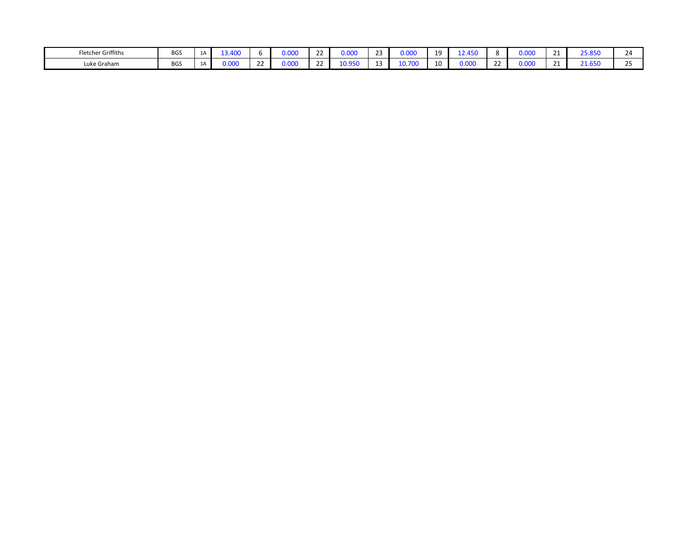| her Griffiths<br>Fletche. | <b>BGS</b> | $\overline{a}$ | $\sqrt{2}$<br>13.4∪к. |               | 0.000 | $\sim$<br>-- | $\sim$ 0.00<br>טיי | $\sim$ | 000.ر | 10 |             |        | 00 <sup>2</sup><br>υ.υυ |    | <b>DE OFO</b>      | $^{\prime\prime}$   |
|---------------------------|------------|----------------|-----------------------|---------------|-------|--------------|--------------------|--------|-------|----|-------------|--------|-------------------------|----|--------------------|---------------------|
| Luke Graham               | <b>BGS</b> | ∸              |                       | $\sim$ $\sim$ | 0.000 | $\sim$<br>-- | $rac{1}{2}$        |        |       | 10 | .<br>$\sim$ | $\sim$ | .001<br>u.uu            | -- | $21$ CEO<br>سابطته | $\sim$ $\sim$<br>-- |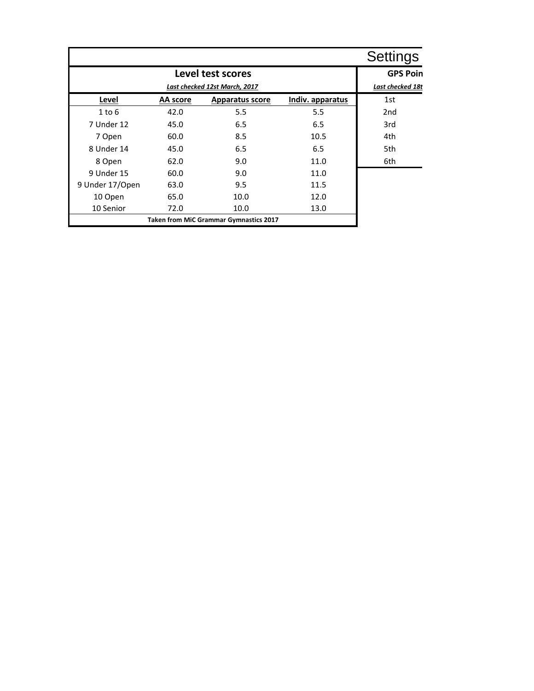|                 |          |                                               |                  | <b>Settings</b>  |
|-----------------|----------|-----------------------------------------------|------------------|------------------|
|                 |          | Level test scores                             |                  | <b>GPS Poin</b>  |
|                 |          | Last checked 12st March, 2017                 |                  | Last checked 18t |
| Level           | AA score | <b>Apparatus score</b>                        | Indiv. apparatus | 1st              |
| 1 to 6          | 42.0     | 5.5                                           | 5.5              | 2 <sub>nd</sub>  |
| 7 Under 12      | 45.0     | 6.5                                           | 6.5              | 3rd              |
| 7 Open          | 60.0     | 8.5                                           | 10.5             | 4th              |
| 8 Under 14      | 45.0     | 6.5                                           | 6.5              | 5th              |
| 8 Open          | 62.0     | 9.0                                           | 11.0             | 6th              |
| 9 Under 15      | 60.0     | 9.0                                           | 11.0             |                  |
| 9 Under 17/Open | 63.0     | 9.5                                           | 11.5             |                  |
| 10 Open         | 65.0     | 10.0                                          | 12.0             |                  |
| 10 Senior       | 72.0     | 10.0                                          | 13.0             |                  |
|                 |          | <b>Taken from MiC Grammar Gymnastics 2017</b> |                  |                  |